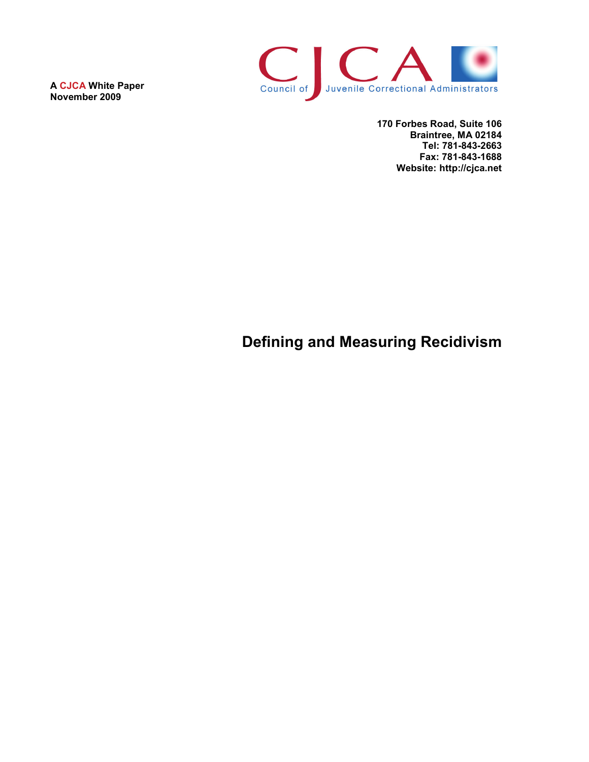**A CJCA White Paper November 2009**



**170 Forbes Road, Suite 106 Braintree, MA 02184 Tel: 781-843-2663 Fax: 781-843-1688 Website: http://cjca.net**

# **Defining and Measuring Recidivism**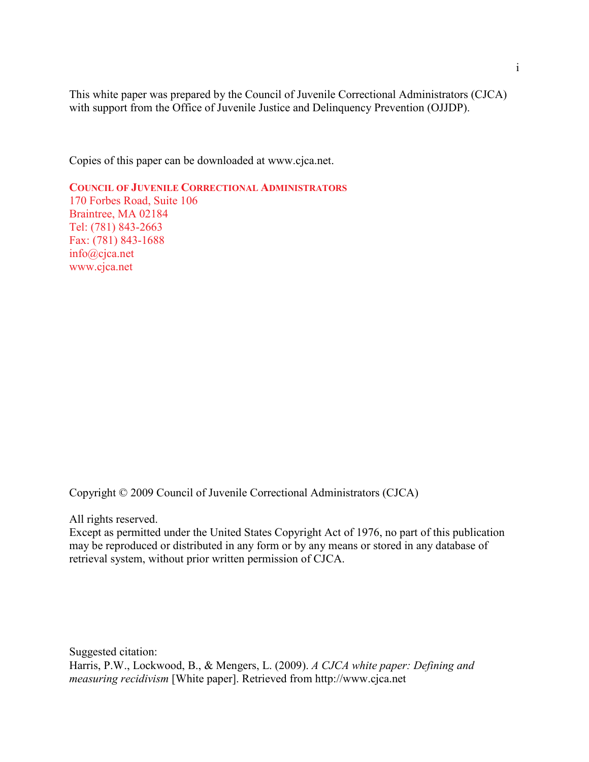This white paper was prepared by the Council of Juvenile Correctional Administrators (CJCA) with support from the Office of Juvenile Justice and Delinquency Prevention (OJJDP).

Copies of this paper can be downloaded at www.cjca.net.

**COUNCIL OF JUVENILE CORRECTIONAL ADMINISTRATORS** 170 Forbes Road, Suite 106 Braintree, MA 02184 Tel: (781) 843-2663 Fax: (781) 843-1688 info@cjca.net www.cjca.net

Copyright © 2009 Council of Juvenile Correctional Administrators (CJCA)

All rights reserved.

Except as permitted under the United States Copyright Act of 1976, no part of this publication may be reproduced or distributed in any form or by any means or stored in any database of retrieval system, without prior written permission of CJCA.

Suggested citation: Harris, P.W., Lockwood, B., & Mengers, L. (2009). *A CJCA white paper: Defining and measuring recidivism* [White paper]. Retrieved from http://www.cjca.net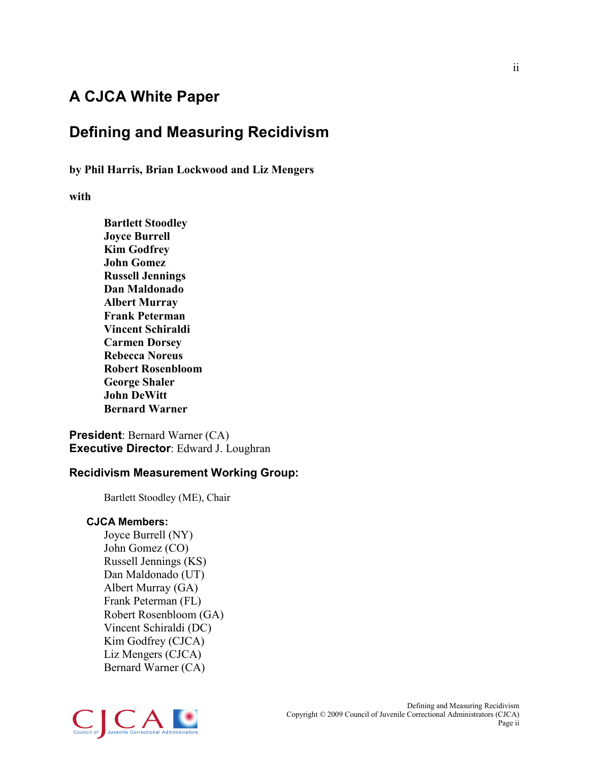# **A CJCA White Paper**

# **Defining and Measuring Recidivism**

**by Phil Harris, Brian Lockwood and Liz Mengers**

**with** 

**Bartlett Stoodley Joyce Burrell Kim Godfrey John Gomez Russell Jennings Dan Maldonado Albert Murray Frank Peterman Vincent Schiraldi Carmen Dorsey Rebecca Noreus Robert Rosenbloom George Shaler John DeWitt Bernard Warner**

**President**: Bernard Warner (CA) **Executive Director**: Edward J. Loughran

### **Recidivism Measurement Working Group:**

Bartlett Stoodley (ME), Chair

#### **CJCA Members:**

Joyce Burrell (NY) John Gomez (CO) Russell Jennings (KS) Dan Maldonado (UT) Albert Murray (GA) Frank Peterman (FL) Robert Rosenbloom (GA) Vincent Schiraldi (DC) Kim Godfrey (CJCA) Liz Mengers (CJCA) Bernard Warner (CA)

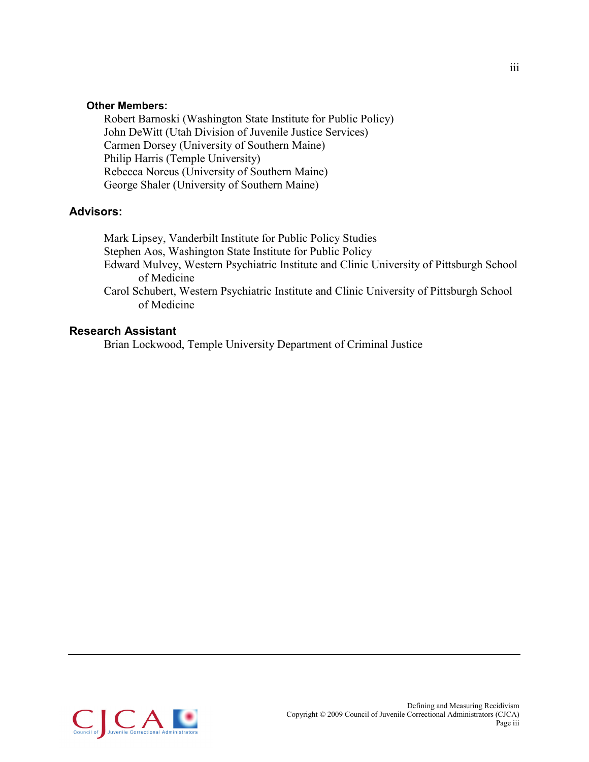#### **Other Members:**

Robert Barnoski (Washington State Institute for Public Policy) John DeWitt (Utah Division of Juvenile Justice Services) Carmen Dorsey (University of Southern Maine) Philip Harris (Temple University) Rebecca Noreus (University of Southern Maine) George Shaler (University of Southern Maine)

### **Advisors:**

Mark Lipsey, Vanderbilt Institute for Public Policy Studies Stephen Aos, Washington State Institute for Public Policy Edward Mulvey, Western Psychiatric Institute and Clinic University of Pittsburgh School of Medicine Carol Schubert, Western Psychiatric Institute and Clinic University of Pittsburgh School of Medicine

#### **Research Assistant**

Brian Lockwood, Temple University Department of Criminal Justice

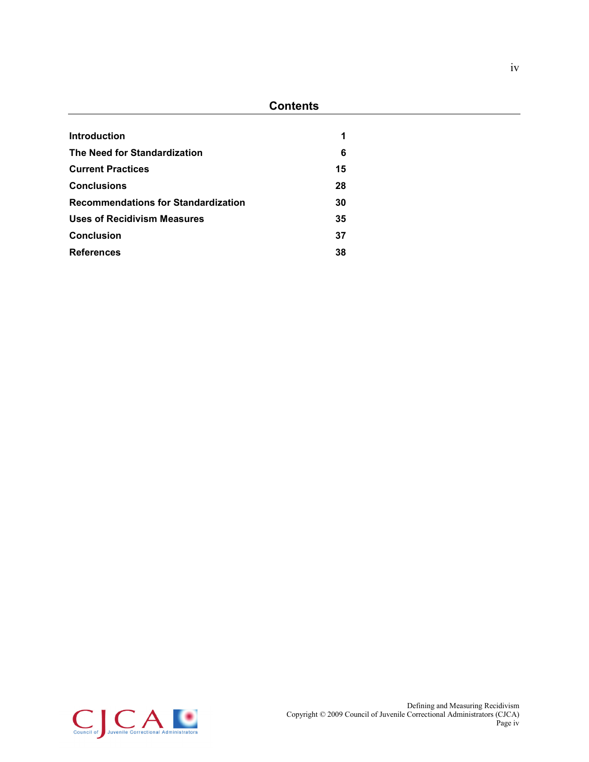### **Contents**

| Introduction                               | 1  |
|--------------------------------------------|----|
| The Need for Standardization               | 6  |
| <b>Current Practices</b>                   | 15 |
| <b>Conclusions</b>                         | 28 |
| <b>Recommendations for Standardization</b> | 30 |
| <b>Uses of Recidivism Measures</b>         | 35 |
| <b>Conclusion</b>                          | 37 |
| <b>References</b>                          | 38 |

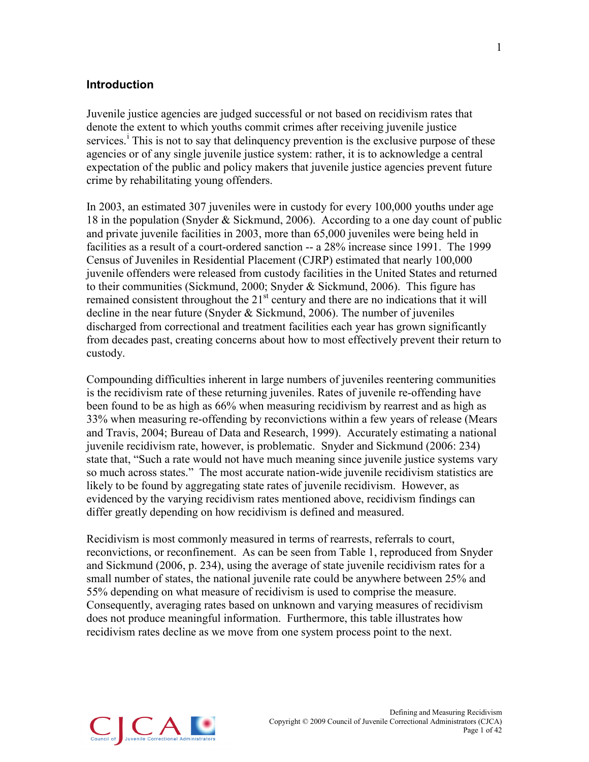#### <span id="page-5-0"></span>**Introduction**

Juvenile justice agencies are judged successful or not based on recidivism rates that denote the extent to which youths commit crimes after receiving juvenile justice serv[i](#page-46-0)ces.<sup>i</sup> This is not to say that delinquency prevention is the exclusive purpose of these agencies or of any single juvenile justice system: rather, it is to acknowledge a central expectation of the public and policy makers that juvenile justice agencies prevent future crime by rehabilitating young offenders.

In 2003, an estimated 307 juveniles were in custody for every 100,000 youths under age 18 in the population (Snyder & Sickmund, 2006). According to a one day count of public and private juvenile facilities in 2003, more than 65,000 juveniles were being held in facilities as a result of a court-ordered sanction -- a 28% increase since 1991. The 1999 Census of Juveniles in Residential Placement (CJRP) estimated that nearly 100,000 juvenile offenders were released from custody facilities in the United States and returned to their communities (Sickmund, 2000; Snyder & Sickmund, 2006). This figure has remained consistent throughout the  $21<sup>st</sup>$  century and there are no indications that it will decline in the near future (Snyder & Sickmund, 2006). The number of juveniles discharged from correctional and treatment facilities each year has grown significantly from decades past, creating concerns about how to most effectively prevent their return to custody.

Compounding difficulties inherent in large numbers of juveniles reentering communities is the recidivism rate of these returning juveniles. Rates of juvenile re-offending have been found to be as high as 66% when measuring recidivism by rearrest and as high as 33% when measuring re-offending by reconvictions within a few years of release (Mears and Travis, 2004; Bureau of Data and Research, 1999). Accurately estimating a national juvenile recidivism rate, however, is problematic. Snyder and Sickmund (2006: 234) state that, "Such a rate would not have much meaning since juvenile justice systems vary so much across states." The most accurate nation-wide juvenile recidivism statistics are likely to be found by aggregating state rates of juvenile recidivism. However, as evidenced by the varying recidivism rates mentioned above, recidivism findings can differ greatly depending on how recidivism is defined and measured.

Recidivism is most commonly measured in terms of rearrests, referrals to court, reconvictions, or reconfinement. As can be seen from Table 1, reproduced from Snyder and Sickmund (2006, p. 234), using the average of state juvenile recidivism rates for a small number of states, the national juvenile rate could be anywhere between 25% and 55% depending on what measure of recidivism is used to comprise the measure. Consequently, averaging rates based on unknown and varying measures of recidivism does not produce meaningful information. Furthermore, this table illustrates how recidivism rates decline as we move from one system process point to the next.

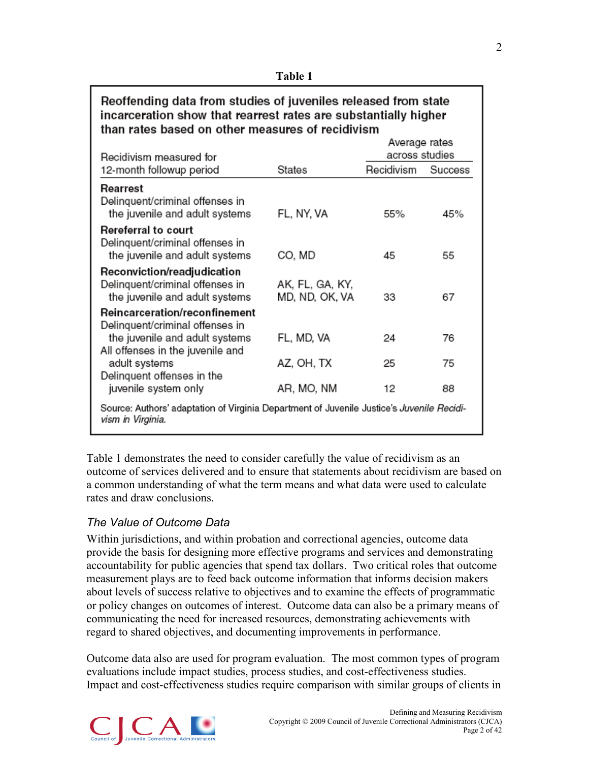| ан<br>l |  |
|---------|--|
|---------|--|

| Reoffending data from studies of juveniles released from state<br>incarceration show that rearrest rates are substantially higher<br>than rates based on other measures of recidivism |                                   |                                 |         |
|---------------------------------------------------------------------------------------------------------------------------------------------------------------------------------------|-----------------------------------|---------------------------------|---------|
|                                                                                                                                                                                       |                                   | Average rates<br>across studies |         |
| Recidivism measured for<br>12-month followup period                                                                                                                                   | States                            | Recidivism                      | Success |
| Rearrest<br>Delinquent/criminal offenses in<br>the juvenile and adult systems                                                                                                         | FL, NY, VA                        | 55%                             | 45%     |
| <b>Rereferral to court</b><br>Delinquent/criminal offenses in<br>the juvenile and adult systems                                                                                       | CO. MD                            | 45                              | 55      |
| Reconviction/readjudication<br>Delinquent/criminal offenses in<br>the juvenile and adult systems                                                                                      | AK, FL, GA, KY,<br>MD, ND, OK, VA | 33                              | 67      |
| Reincarceration/reconfinement<br>Delinquent/criminal offenses in<br>the juvenile and adult systems                                                                                    | FL, MD, VA                        | 24                              | 76      |
| All offenses in the juvenile and<br>adult systems<br>Delinquent offenses in the                                                                                                       | AZ, OH, TX                        | 25                              | 75      |
| juvenile system only                                                                                                                                                                  | AR, MO, NM                        | 12                              | 88      |
| Source: Authors' adaptation of Virginia Department of Juvenile Justice's Juvenile Recidi-<br>vism in Virginia.                                                                        |                                   |                                 |         |

Table 1 demonstrates the need to consider carefully the value of recidivism as an outcome of services delivered and to ensure that statements about recidivism are based on a common understanding of what the term means and what data were used to calculate rates and draw conclusions.

# *The Value of Outcome Data*

Within jurisdictions, and within probation and correctional agencies, outcome data provide the basis for designing more effective programs and services and demonstrating accountability for public agencies that spend tax dollars. Two critical roles that outcome measurement plays are to feed back outcome information that informs decision makers about levels of success relative to objectives and to examine the effects of programmatic or policy changes on outcomes of interest. Outcome data can also be a primary means of communicating the need for increased resources, demonstrating achievements with regard to shared objectives, and documenting improvements in performance.

Outcome data also are used for program evaluation. The most common types of program evaluations include impact studies, process studies, and cost-effectiveness studies. Impact and cost-effectiveness studies require comparison with similar groups of clients in

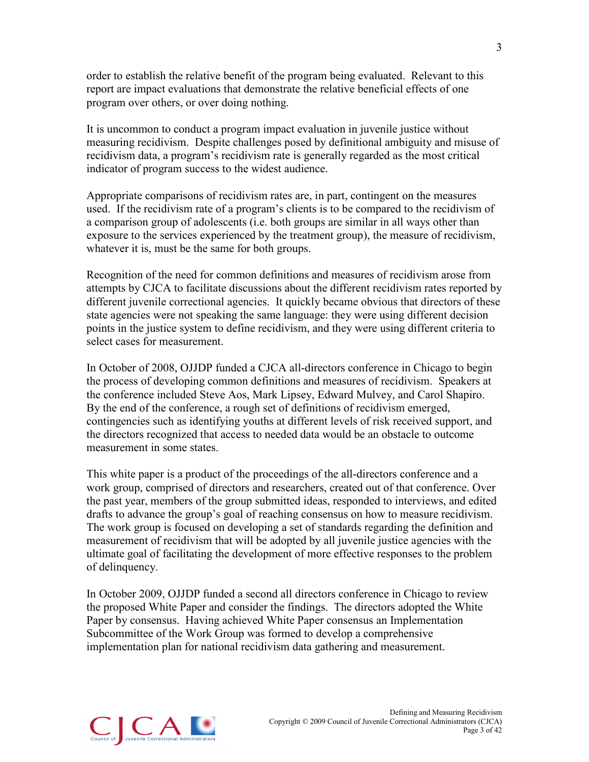order to establish the relative benefit of the program being evaluated. Relevant to this report are impact evaluations that demonstrate the relative beneficial effects of one program over others, or over doing nothing.

It is uncommon to conduct a program impact evaluation in juvenile justice without measuring recidivism. Despite challenges posed by definitional ambiguity and misuse of recidivism data, a program's recidivism rate is generally regarded as the most critical indicator of program success to the widest audience.

Appropriate comparisons of recidivism rates are, in part, contingent on the measures used. If the recidivism rate of a program's clients is to be compared to the recidivism of a comparison group of adolescents (i.e. both groups are similar in all ways other than exposure to the services experienced by the treatment group), the measure of recidivism, whatever it is, must be the same for both groups.

Recognition of the need for common definitions and measures of recidivism arose from attempts by CJCA to facilitate discussions about the different recidivism rates reported by different juvenile correctional agencies. It quickly became obvious that directors of these state agencies were not speaking the same language: they were using different decision points in the justice system to define recidivism, and they were using different criteria to select cases for measurement.

In October of 2008, OJJDP funded a CJCA all-directors conference in Chicago to begin the process of developing common definitions and measures of recidivism. Speakers at the conference included Steve Aos, Mark Lipsey, Edward Mulvey, and Carol Shapiro. By the end of the conference, a rough set of definitions of recidivism emerged, contingencies such as identifying youths at different levels of risk received support, and the directors recognized that access to needed data would be an obstacle to outcome measurement in some states.

This white paper is a product of the proceedings of the all-directors conference and a work group, comprised of directors and researchers, created out of that conference. Over the past year, members of the group submitted ideas, responded to interviews, and edited drafts to advance the group's goal of reaching consensus on how to measure recidivism. The work group is focused on developing a set of standards regarding the definition and measurement of recidivism that will be adopted by all juvenile justice agencies with the ultimate goal of facilitating the development of more effective responses to the problem of delinquency.

In October 2009, OJJDP funded a second all directors conference in Chicago to review the proposed White Paper and consider the findings. The directors adopted the White Paper by consensus. Having achieved White Paper consensus an Implementation Subcommittee of the Work Group was formed to develop a comprehensive implementation plan for national recidivism data gathering and measurement.

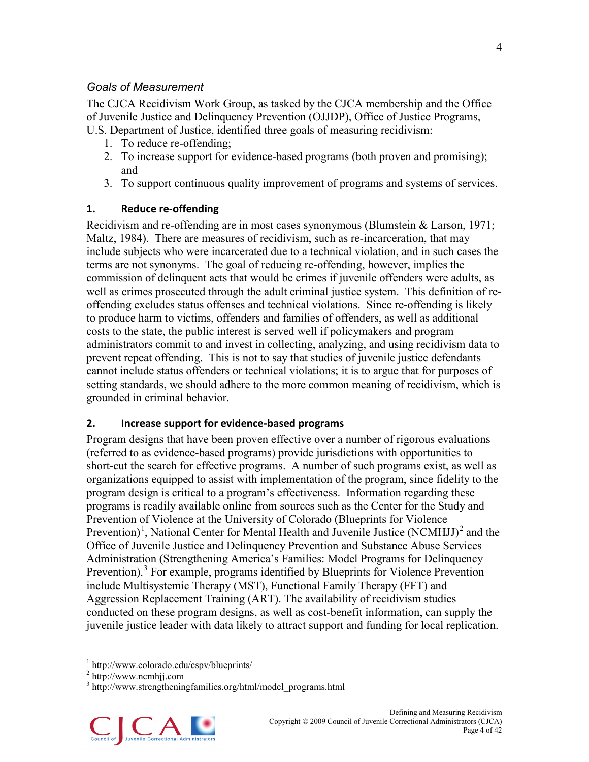### *Goals of Measurement*

The CJCA Recidivism Work Group, as tasked by the CJCA membership and the Office of Juvenile Justice and Delinquency Prevention (OJJDP), Office of Justice Programs, U.S. Department of Justice, identified three goals of measuring recidivism:

- 1. To reduce re-offending;
- 2. To increase support for evidence-based programs (both proven and promising); and
- 3. To support continuous quality improvement of programs and systems of services.

### **1. Reduce re-offending**

Recidivism and re-offending are in most cases synonymous (Blumstein & Larson, 1971; Maltz, 1984). There are measures of recidivism, such as re-incarceration, that may include subjects who were incarcerated due to a technical violation, and in such cases the terms are not synonyms. The goal of reducing re-offending, however, implies the commission of delinquent acts that would be crimes if juvenile offenders were adults, as well as crimes prosecuted through the adult criminal justice system. This definition of reoffending excludes status offenses and technical violations. Since re-offending is likely to produce harm to victims, offenders and families of offenders, as well as additional costs to the state, the public interest is served well if policymakers and program administrators commit to and invest in collecting, analyzing, and using recidivism data to prevent repeat offending. This is not to say that studies of juvenile justice defendants cannot include status offenders or technical violations; it is to argue that for purposes of setting standards, we should adhere to the more common meaning of recidivism, which is grounded in criminal behavior.

#### **2. Increase support for evidence-based programs**

Program designs that have been proven effective over a number of rigorous evaluations (referred to as evidence-based programs) provide jurisdictions with opportunities to short-cut the search for effective programs. A number of such programs exist, as well as organizations equipped to assist with implementation of the program, since fidelity to the program design is critical to a program's effectiveness. Information regarding these programs is readily available online from sources such as the Center for the Study and Prevention of Violence at the University of Colorado (Blueprints for Violence Prevention)<sup>[1](#page-8-0)</sup>, National Center for Mental Health and Juvenile Justice (NCMHJJ)<sup>[2](#page-8-1)</sup> and the Office of Juvenile Justice and Delinquency Prevention and Substance Abuse Services Administration (Strengthening America's Families: Model Programs for Delinquency Prevention). [3](#page-8-2) For example, programs identified by Blueprints for Violence Prevention include Multisystemic Therapy (MST), Functional Family Therapy (FFT) and Aggression Replacement Training (ART). The availability of recidivism studies conducted on these program designs, as well as cost-benefit information, can supply the juvenile justice leader with data likely to attract support and funding for local replication.

<span id="page-8-0"></span> $\frac{1}{2}$  http://www.colorado.edu/cspv/blueprints/<br> $\frac{1}{2}$  http://www.ncmhii.com

<span id="page-8-1"></span>

<span id="page-8-2"></span> $3$  http://www.strengtheningfamilies.org/html/model\_programs.html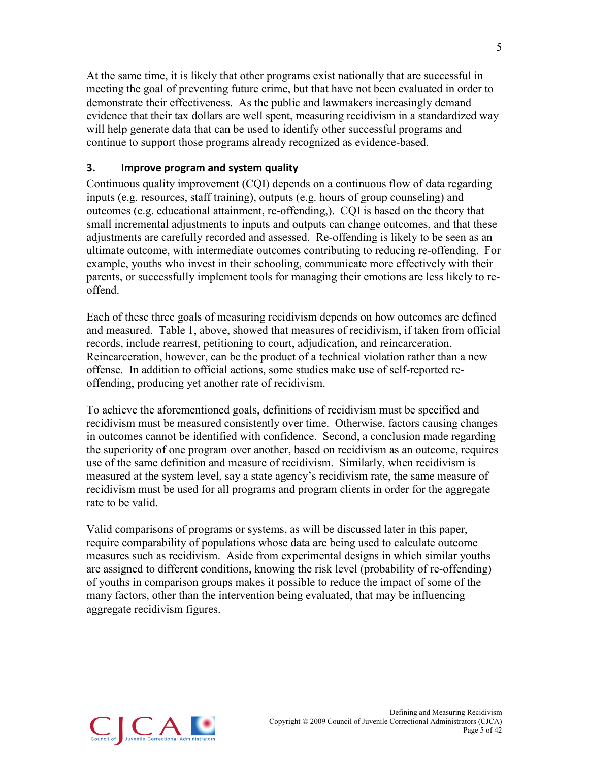At the same time, it is likely that other programs exist nationally that are successful in meeting the goal of preventing future crime, but that have not been evaluated in order to demonstrate their effectiveness. As the public and lawmakers increasingly demand evidence that their tax dollars are well spent, measuring recidivism in a standardized way will help generate data that can be used to identify other successful programs and continue to support those programs already recognized as evidence-based.

#### **3. Improve program and system quality**

Continuous quality improvement (CQI) depends on a continuous flow of data regarding inputs (e.g. resources, staff training), outputs (e.g. hours of group counseling) and outcomes (e.g. educational attainment, re-offending,). CQI is based on the theory that small incremental adjustments to inputs and outputs can change outcomes, and that these adjustments are carefully recorded and assessed. Re-offending is likely to be seen as an ultimate outcome, with intermediate outcomes contributing to reducing re-offending. For example, youths who invest in their schooling, communicate more effectively with their parents, or successfully implement tools for managing their emotions are less likely to reoffend.

Each of these three goals of measuring recidivism depends on how outcomes are defined and measured. Table 1, above, showed that measures of recidivism, if taken from official records, include rearrest, petitioning to court, adjudication, and reincarceration. Reincarceration, however, can be the product of a technical violation rather than a new offense. In addition to official actions, some studies make use of self-reported reoffending, producing yet another rate of recidivism.

To achieve the aforementioned goals, definitions of recidivism must be specified and recidivism must be measured consistently over time. Otherwise, factors causing changes in outcomes cannot be identified with confidence. Second, a conclusion made regarding the superiority of one program over another, based on recidivism as an outcome, requires use of the same definition and measure of recidivism. Similarly, when recidivism is measured at the system level, say a state agency's recidivism rate, the same measure of recidivism must be used for all programs and program clients in order for the aggregate rate to be valid.

Valid comparisons of programs or systems, as will be discussed later in this paper, require comparability of populations whose data are being used to calculate outcome measures such as recidivism. Aside from experimental designs in which similar youths are assigned to different conditions, knowing the risk level (probability of re-offending) of youths in comparison groups makes it possible to reduce the impact of some of the many factors, other than the intervention being evaluated, that may be influencing aggregate recidivism figures.

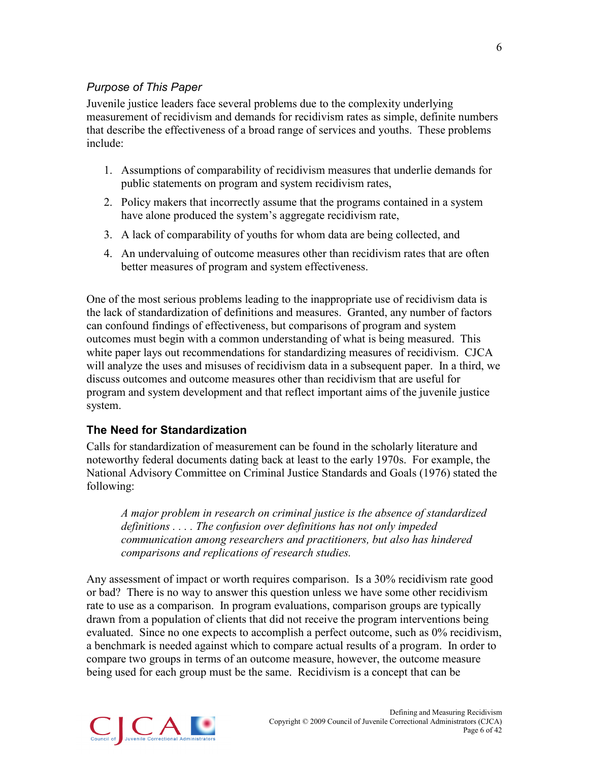### *Purpose of This Paper*

Juvenile justice leaders face several problems due to the complexity underlying measurement of recidivism and demands for recidivism rates as simple, definite numbers that describe the effectiveness of a broad range of services and youths. These problems include:

- 1. Assumptions of comparability of recidivism measures that underlie demands for public statements on program and system recidivism rates,
- 2. Policy makers that incorrectly assume that the programs contained in a system have alone produced the system's aggregate recidivism rate,
- 3. A lack of comparability of youths for whom data are being collected, and
- 4. An undervaluing of outcome measures other than recidivism rates that are often better measures of program and system effectiveness.

One of the most serious problems leading to the inappropriate use of recidivism data is the lack of standardization of definitions and measures. Granted, any number of factors can confound findings of effectiveness, but comparisons of program and system outcomes must begin with a common understanding of what is being measured. This white paper lays out recommendations for standardizing measures of recidivism. CJCA will analyze the uses and misuses of recidivism data in a subsequent paper. In a third, we discuss outcomes and outcome measures other than recidivism that are useful for program and system development and that reflect important aims of the juvenile justice system.

### <span id="page-10-0"></span>**The Need for Standardization**

Calls for standardization of measurement can be found in the scholarly literature and noteworthy federal documents dating back at least to the early 1970s. For example, the National Advisory Committee on Criminal Justice Standards and Goals (1976) stated the following:

*A major problem in research on criminal justice is the absence of standardized definitions . . . . The confusion over definitions has not only impeded communication among researchers and practitioners, but also has hindered comparisons and replications of research studies.*

Any assessment of impact or worth requires comparison. Is a 30% recidivism rate good or bad? There is no way to answer this question unless we have some other recidivism rate to use as a comparison. In program evaluations, comparison groups are typically drawn from a population of clients that did not receive the program interventions being evaluated. Since no one expects to accomplish a perfect outcome, such as 0% recidivism, a benchmark is needed against which to compare actual results of a program. In order to compare two groups in terms of an outcome measure, however, the outcome measure being used for each group must be the same. Recidivism is a concept that can be

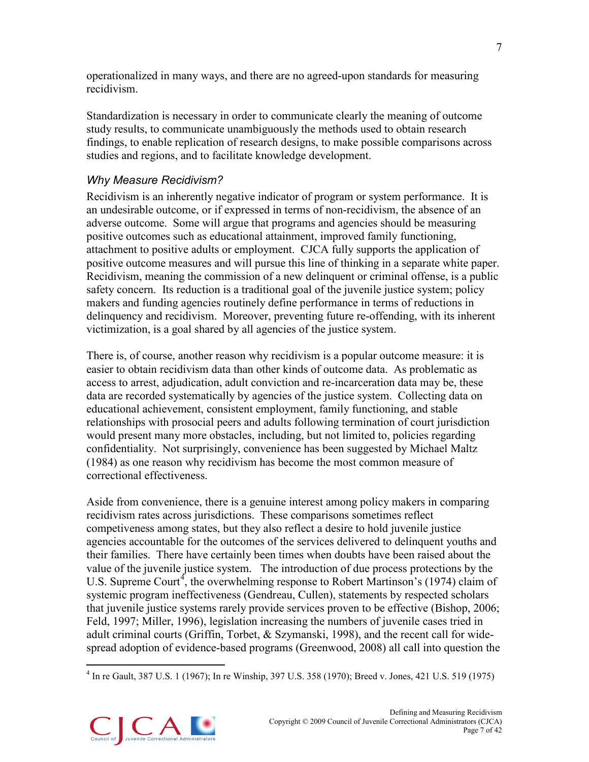operationalized in many ways, and there are no agreed-upon standards for measuring recidivism.

Standardization is necessary in order to communicate clearly the meaning of outcome study results, to communicate unambiguously the methods used to obtain research findings, to enable replication of research designs, to make possible comparisons across studies and regions, and to facilitate knowledge development.

# *Why Measure Recidivism?*

Recidivism is an inherently negative indicator of program or system performance. It is an undesirable outcome, or if expressed in terms of non-recidivism, the absence of an adverse outcome. Some will argue that programs and agencies should be measuring positive outcomes such as educational attainment, improved family functioning, attachment to positive adults or employment. CJCA fully supports the application of positive outcome measures and will pursue this line of thinking in a separate white paper. Recidivism, meaning the commission of a new delinquent or criminal offense, is a public safety concern. Its reduction is a traditional goal of the juvenile justice system; policy makers and funding agencies routinely define performance in terms of reductions in delinquency and recidivism. Moreover, preventing future re-offending, with its inherent victimization, is a goal shared by all agencies of the justice system.

There is, of course, another reason why recidivism is a popular outcome measure: it is easier to obtain recidivism data than other kinds of outcome data. As problematic as access to arrest, adjudication, adult conviction and re-incarceration data may be, these data are recorded systematically by agencies of the justice system. Collecting data on educational achievement, consistent employment, family functioning, and stable relationships with prosocial peers and adults following termination of court jurisdiction would present many more obstacles, including, but not limited to, policies regarding confidentiality. Not surprisingly, convenience has been suggested by Michael Maltz (1984) as one reason why recidivism has become the most common measure of correctional effectiveness.

Aside from convenience, there is a genuine interest among policy makers in comparing recidivism rates across jurisdictions. These comparisons sometimes reflect competiveness among states, but they also reflect a desire to hold juvenile justice agencies accountable for the outcomes of the services delivered to delinquent youths and their families. There have certainly been times when doubts have been raised about the value of the juvenile justice system. The introduction of due process protections by the U.S. Supreme Court<sup>[4](#page-11-0)</sup>, the overwhelming response to Robert Martinson's (1974) claim of systemic program ineffectiveness (Gendreau, Cullen), statements by respected scholars that juvenile justice systems rarely provide services proven to be effective (Bishop, 2006; Feld, 1997; Miller, 1996), legislation increasing the numbers of juvenile cases tried in adult criminal courts (Griffin, Torbet, & Szymanski, 1998), and the recent call for widespread adoption of evidence-based programs (Greenwood, 2008) all call into question the

<span id="page-11-0"></span> <sup>4</sup> In re Gault, 387 U.S. 1 (1967); In re Winship, 397 U.S. 358 (1970); Breed v. Jones, 421 U.S. 519 (1975)

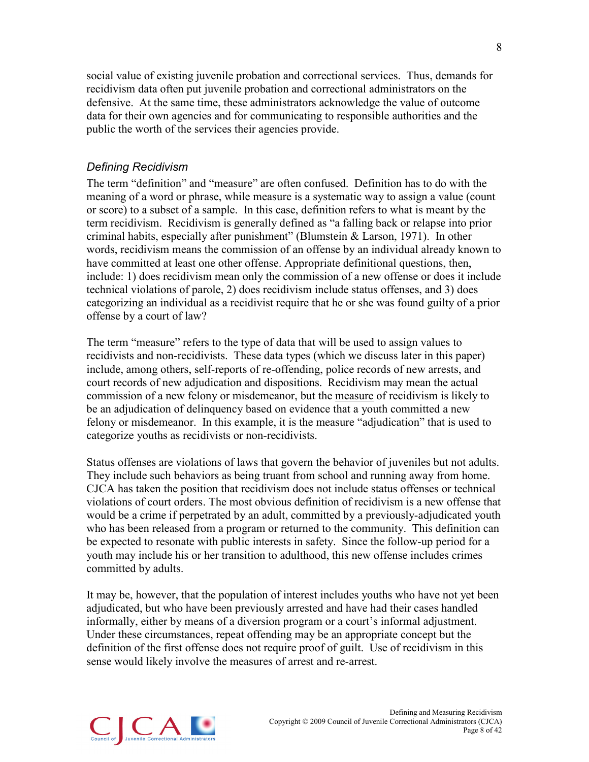social value of existing juvenile probation and correctional services. Thus, demands for recidivism data often put juvenile probation and correctional administrators on the defensive. At the same time, these administrators acknowledge the value of outcome data for their own agencies and for communicating to responsible authorities and the public the worth of the services their agencies provide.

### *Defining Recidivism*

The term "definition" and "measure" are often confused. Definition has to do with the meaning of a word or phrase, while measure is a systematic way to assign a value (count or score) to a subset of a sample. In this case, definition refers to what is meant by the term recidivism. Recidivism is generally defined as "a falling back or relapse into prior criminal habits, especially after punishment" (Blumstein & Larson, 1971). In other words, recidivism means the commission of an offense by an individual already known to have committed at least one other offense. Appropriate definitional questions, then, include: 1) does recidivism mean only the commission of a new offense or does it include technical violations of parole, 2) does recidivism include status offenses, and 3) does categorizing an individual as a recidivist require that he or she was found guilty of a prior offense by a court of law?

The term "measure" refers to the type of data that will be used to assign values to recidivists and non-recidivists. These data types (which we discuss later in this paper) include, among others, self-reports of re-offending, police records of new arrests, and court records of new adjudication and dispositions. Recidivism may mean the actual commission of a new felony or misdemeanor, but the measure of recidivism is likely to be an adjudication of delinquency based on evidence that a youth committed a new felony or misdemeanor. In this example, it is the measure "adjudication" that is used to categorize youths as recidivists or non-recidivists.

Status offenses are violations of laws that govern the behavior of juveniles but not adults. They include such behaviors as being truant from school and running away from home. CJCA has taken the position that recidivism does not include status offenses or technical violations of court orders. The most obvious definition of recidivism is a new offense that would be a crime if perpetrated by an adult, committed by a previously-adjudicated youth who has been released from a program or returned to the community. This definition can be expected to resonate with public interests in safety. Since the follow-up period for a youth may include his or her transition to adulthood, this new offense includes crimes committed by adults.

It may be, however, that the population of interest includes youths who have not yet been adjudicated, but who have been previously arrested and have had their cases handled informally, either by means of a diversion program or a court's informal adjustment. Under these circumstances, repeat offending may be an appropriate concept but the definition of the first offense does not require proof of guilt. Use of recidivism in this sense would likely involve the measures of arrest and re-arrest.

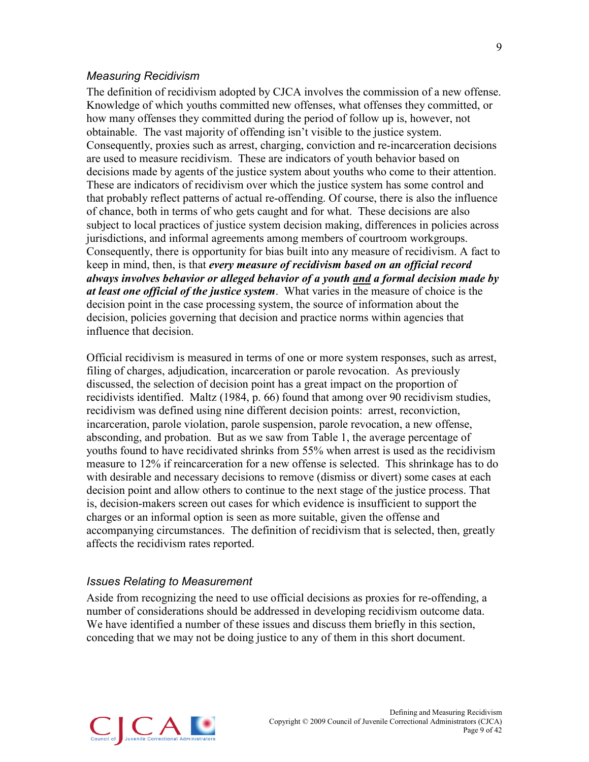#### *Measuring Recidivism*

The definition of recidivism adopted by CJCA involves the commission of a new offense. Knowledge of which youths committed new offenses, what offenses they committed, or how many offenses they committed during the period of follow up is, however, not obtainable. The vast majority of offending isn't visible to the justice system. Consequently, proxies such as arrest, charging, conviction and re-incarceration decisions are used to measure recidivism. These are indicators of youth behavior based on decisions made by agents of the justice system about youths who come to their attention. These are indicators of recidivism over which the justice system has some control and that probably reflect patterns of actual re-offending. Of course, there is also the influence of chance, both in terms of who gets caught and for what. These decisions are also subject to local practices of justice system decision making, differences in policies across jurisdictions, and informal agreements among members of courtroom workgroups. Consequently, there is opportunity for bias built into any measure of recidivism. A fact to keep in mind, then, is that *every measure of recidivism based on an official record always involves behavior or alleged behavior of a youth and a formal decision made by at least one official of the justice system*. What varies in the measure of choice is the decision point in the case processing system, the source of information about the decision, policies governing that decision and practice norms within agencies that influence that decision.

Official recidivism is measured in terms of one or more system responses, such as arrest, filing of charges, adjudication, incarceration or parole revocation. As previously discussed, the selection of decision point has a great impact on the proportion of recidivists identified. Maltz (1984, p. 66) found that among over 90 recidivism studies, recidivism was defined using nine different decision points: arrest, reconviction, incarceration, parole violation, parole suspension, parole revocation, a new offense, absconding, and probation. But as we saw from Table 1, the average percentage of youths found to have recidivated shrinks from 55% when arrest is used as the recidivism measure to 12% if reincarceration for a new offense is selected. This shrinkage has to do with desirable and necessary decisions to remove (dismiss or divert) some cases at each decision point and allow others to continue to the next stage of the justice process. That is, decision-makers screen out cases for which evidence is insufficient to support the charges or an informal option is seen as more suitable, given the offense and accompanying circumstances. The definition of recidivism that is selected, then, greatly affects the recidivism rates reported.

#### *Issues Relating to Measurement*

Aside from recognizing the need to use official decisions as proxies for re-offending, a number of considerations should be addressed in developing recidivism outcome data. We have identified a number of these issues and discuss them briefly in this section, conceding that we may not be doing justice to any of them in this short document.

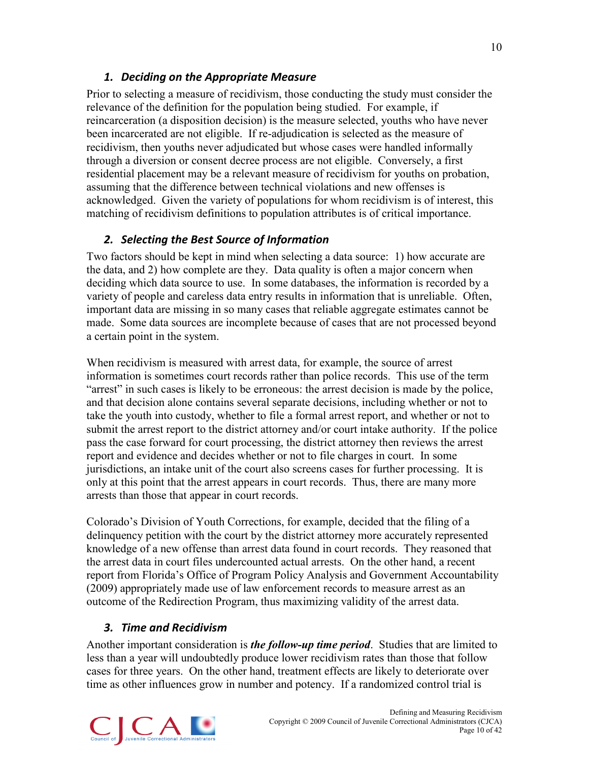# *1. Deciding on the Appropriate Measure*

Prior to selecting a measure of recidivism, those conducting the study must consider the relevance of the definition for the population being studied. For example, if reincarceration (a disposition decision) is the measure selected, youths who have never been incarcerated are not eligible. If re-adjudication is selected as the measure of recidivism, then youths never adjudicated but whose cases were handled informally through a diversion or consent decree process are not eligible. Conversely, a first residential placement may be a relevant measure of recidivism for youths on probation, assuming that the difference between technical violations and new offenses is acknowledged. Given the variety of populations for whom recidivism is of interest, this matching of recidivism definitions to population attributes is of critical importance.

# *2. Selecting the Best Source of Information*

Two factors should be kept in mind when selecting a data source: 1) how accurate are the data, and 2) how complete are they. Data quality is often a major concern when deciding which data source to use. In some databases, the information is recorded by a variety of people and careless data entry results in information that is unreliable. Often, important data are missing in so many cases that reliable aggregate estimates cannot be made. Some data sources are incomplete because of cases that are not processed beyond a certain point in the system.

When recidivism is measured with arrest data, for example, the source of arrest information is sometimes court records rather than police records. This use of the term "arrest" in such cases is likely to be erroneous: the arrest decision is made by the police, and that decision alone contains several separate decisions, including whether or not to take the youth into custody, whether to file a formal arrest report, and whether or not to submit the arrest report to the district attorney and/or court intake authority. If the police pass the case forward for court processing, the district attorney then reviews the arrest report and evidence and decides whether or not to file charges in court. In some jurisdictions, an intake unit of the court also screens cases for further processing. It is only at this point that the arrest appears in court records. Thus, there are many more arrests than those that appear in court records.

Colorado's Division of Youth Corrections, for example, decided that the filing of a delinquency petition with the court by the district attorney more accurately represented knowledge of a new offense than arrest data found in court records. They reasoned that the arrest data in court files undercounted actual arrests. On the other hand, a recent report from Florida's Office of Program Policy Analysis and Government Accountability (2009) appropriately made use of law enforcement records to measure arrest as an outcome of the Redirection Program, thus maximizing validity of the arrest data.

# *3. Time and Recidivism*

Another important consideration is *the follow-up time period*. Studies that are limited to less than a year will undoubtedly produce lower recidivism rates than those that follow cases for three years. On the other hand, treatment effects are likely to deteriorate over time as other influences grow in number and potency. If a randomized control trial is

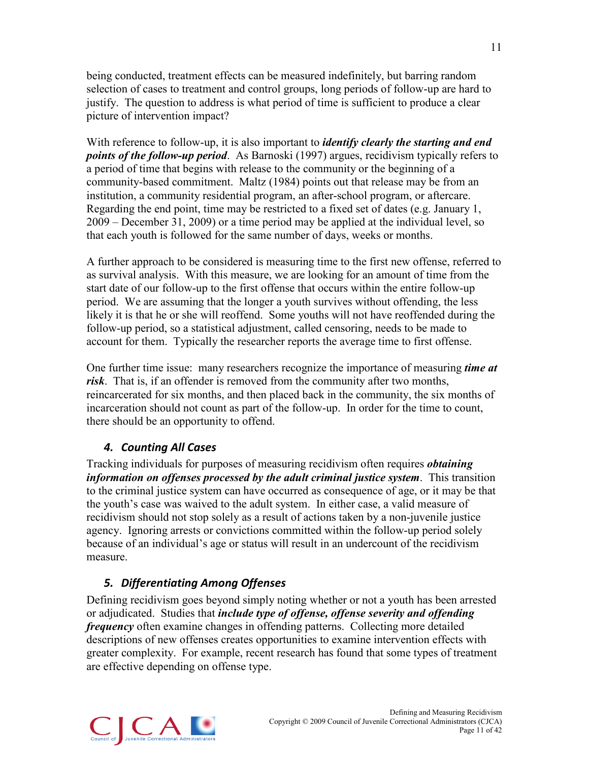being conducted, treatment effects can be measured indefinitely, but barring random selection of cases to treatment and control groups, long periods of follow-up are hard to justify. The question to address is what period of time is sufficient to produce a clear picture of intervention impact?

With reference to follow-up, it is also important to *identify clearly the starting and end points of the follow-up period*. As Barnoski (1997) argues, recidivism typically refers to a period of time that begins with release to the community or the beginning of a community-based commitment. Maltz (1984) points out that release may be from an institution, a community residential program, an after-school program, or aftercare. Regarding the end point, time may be restricted to a fixed set of dates (e.g. January 1, 2009 – December 31, 2009) or a time period may be applied at the individual level, so that each youth is followed for the same number of days, weeks or months.

A further approach to be considered is measuring time to the first new offense, referred to as survival analysis. With this measure, we are looking for an amount of time from the start date of our follow-up to the first offense that occurs within the entire follow-up period. We are assuming that the longer a youth survives without offending, the less likely it is that he or she will reoffend. Some youths will not have reoffended during the follow-up period, so a statistical adjustment, called censoring, needs to be made to account for them. Typically the researcher reports the average time to first offense.

One further time issue: many researchers recognize the importance of measuring *time at risk*. That is, if an offender is removed from the community after two months, reincarcerated for six months, and then placed back in the community, the six months of incarceration should not count as part of the follow-up. In order for the time to count, there should be an opportunity to offend.

# *4. Counting All Cases*

Tracking individuals for purposes of measuring recidivism often requires *obtaining information on offenses processed by the adult criminal justice system*. This transition to the criminal justice system can have occurred as consequence of age, or it may be that the youth's case was waived to the adult system. In either case, a valid measure of recidivism should not stop solely as a result of actions taken by a non-juvenile justice agency. Ignoring arrests or convictions committed within the follow-up period solely because of an individual's age or status will result in an undercount of the recidivism measure.

# *5. Differentiating Among Offenses*

Defining recidivism goes beyond simply noting whether or not a youth has been arrested or adjudicated. Studies that *include type of offense, offense severity and offending frequency* often examine changes in offending patterns. Collecting more detailed descriptions of new offenses creates opportunities to examine intervention effects with greater complexity. For example, recent research has found that some types of treatment are effective depending on offense type.

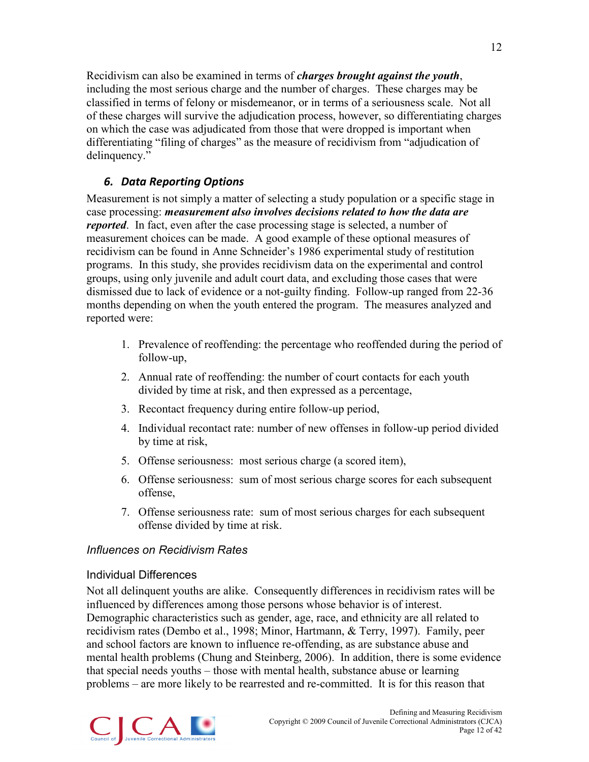Recidivism can also be examined in terms of *charges brought against the youth*, including the most serious charge and the number of charges. These charges may be classified in terms of felony or misdemeanor, or in terms of a seriousness scale. Not all of these charges will survive the adjudication process, however, so differentiating charges on which the case was adjudicated from those that were dropped is important when differentiating "filing of charges" as the measure of recidivism from "adjudication of delinquency."

# *6. Data Reporting Options*

Measurement is not simply a matter of selecting a study population or a specific stage in case processing: *measurement also involves decisions related to how the data are reported*. In fact, even after the case processing stage is selected, a number of measurement choices can be made. A good example of these optional measures of recidivism can be found in Anne Schneider's 1986 experimental study of restitution programs. In this study, she provides recidivism data on the experimental and control groups, using only juvenile and adult court data, and excluding those cases that were dismissed due to lack of evidence or a not-guilty finding. Follow-up ranged from 22-36 months depending on when the youth entered the program. The measures analyzed and reported were:

- 1. Prevalence of reoffending: the percentage who reoffended during the period of follow-up,
- 2. Annual rate of reoffending: the number of court contacts for each youth divided by time at risk, and then expressed as a percentage,
- 3. Recontact frequency during entire follow-up period,
- 4. Individual recontact rate: number of new offenses in follow-up period divided by time at risk,
- 5. Offense seriousness: most serious charge (a scored item),
- 6. Offense seriousness: sum of most serious charge scores for each subsequent offense,
- 7. Offense seriousness rate: sum of most serious charges for each subsequent offense divided by time at risk.

# *Influences on Recidivism Rates*

### Individual Differences

Not all delinquent youths are alike. Consequently differences in recidivism rates will be influenced by differences among those persons whose behavior is of interest. Demographic characteristics such as gender, age, race, and ethnicity are all related to recidivism rates (Dembo et al., 1998; Minor, Hartmann, & Terry, 1997). Family, peer and school factors are known to influence re-offending, as are substance abuse and mental health problems (Chung and Steinberg, 2006). In addition, there is some evidence that special needs youths – those with mental health, substance abuse or learning problems – are more likely to be rearrested and re-committed. It is for this reason that

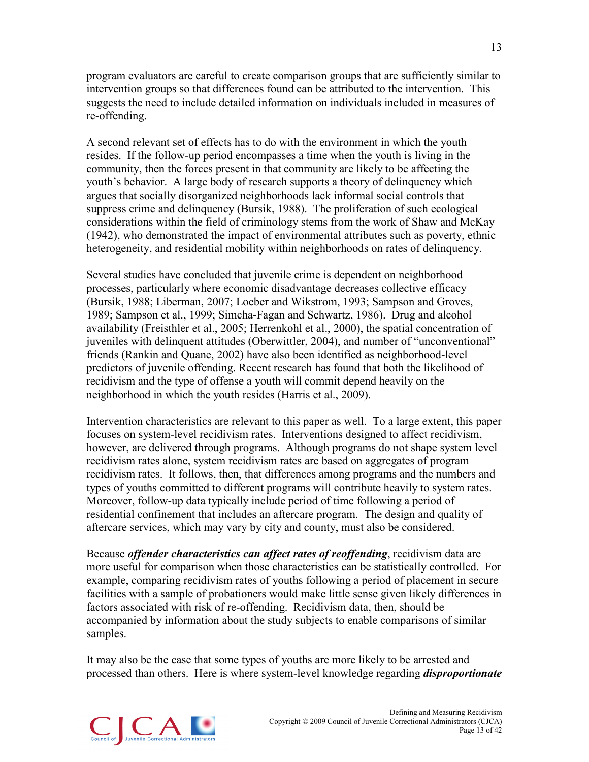program evaluators are careful to create comparison groups that are sufficiently similar to intervention groups so that differences found can be attributed to the intervention. This suggests the need to include detailed information on individuals included in measures of re-offending.

A second relevant set of effects has to do with the environment in which the youth resides. If the follow-up period encompasses a time when the youth is living in the community, then the forces present in that community are likely to be affecting the youth's behavior. A large body of research supports a theory of delinquency which argues that socially disorganized neighborhoods lack informal social controls that suppress crime and delinquency (Bursik, 1988). The proliferation of such ecological considerations within the field of criminology stems from the work of Shaw and McKay (1942), who demonstrated the impact of environmental attributes such as poverty, ethnic heterogeneity, and residential mobility within neighborhoods on rates of delinquency.

Several studies have concluded that juvenile crime is dependent on neighborhood processes, particularly where economic disadvantage decreases collective efficacy (Bursik, 1988; Liberman, 2007; Loeber and Wikstrom, 1993; Sampson and Groves, 1989; Sampson et al., 1999; Simcha-Fagan and Schwartz, 1986). Drug and alcohol availability (Freisthler et al., 2005; Herrenkohl et al., 2000), the spatial concentration of juveniles with delinquent attitudes (Oberwittler, 2004), and number of "unconventional" friends (Rankin and Quane, 2002) have also been identified as neighborhood-level predictors of juvenile offending. Recent research has found that both the likelihood of recidivism and the type of offense a youth will commit depend heavily on the neighborhood in which the youth resides (Harris et al., 2009).

Intervention characteristics are relevant to this paper as well. To a large extent, this paper focuses on system-level recidivism rates. Interventions designed to affect recidivism, however, are delivered through programs. Although programs do not shape system level recidivism rates alone, system recidivism rates are based on aggregates of program recidivism rates. It follows, then, that differences among programs and the numbers and types of youths committed to different programs will contribute heavily to system rates. Moreover, follow-up data typically include period of time following a period of residential confinement that includes an aftercare program. The design and quality of aftercare services, which may vary by city and county, must also be considered.

Because *offender characteristics can affect rates of reoffending*, recidivism data are more useful for comparison when those characteristics can be statistically controlled. For example, comparing recidivism rates of youths following a period of placement in secure facilities with a sample of probationers would make little sense given likely differences in factors associated with risk of re-offending. Recidivism data, then, should be accompanied by information about the study subjects to enable comparisons of similar samples.

It may also be the case that some types of youths are more likely to be arrested and processed than others. Here is where system-level knowledge regarding *disproportionate* 

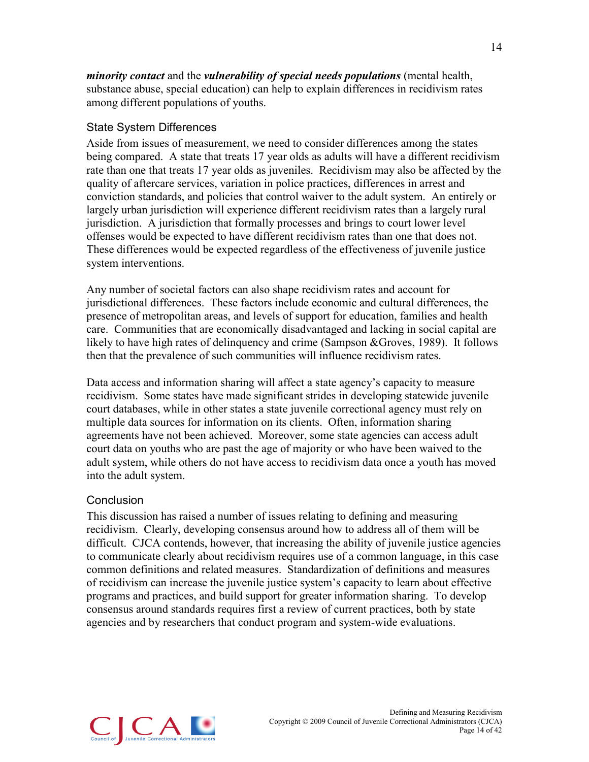*minority contact* and the *vulnerability of special needs populations* (mental health, substance abuse, special education) can help to explain differences in recidivism rates among different populations of youths.

#### State System Differences

Aside from issues of measurement, we need to consider differences among the states being compared. A state that treats 17 year olds as adults will have a different recidivism rate than one that treats 17 year olds as juveniles. Recidivism may also be affected by the quality of aftercare services, variation in police practices, differences in arrest and conviction standards, and policies that control waiver to the adult system. An entirely or largely urban jurisdiction will experience different recidivism rates than a largely rural jurisdiction. A jurisdiction that formally processes and brings to court lower level offenses would be expected to have different recidivism rates than one that does not. These differences would be expected regardless of the effectiveness of juvenile justice system interventions.

Any number of societal factors can also shape recidivism rates and account for jurisdictional differences. These factors include economic and cultural differences, the presence of metropolitan areas, and levels of support for education, families and health care. Communities that are economically disadvantaged and lacking in social capital are likely to have high rates of delinquency and crime (Sampson &Groves, 1989). It follows then that the prevalence of such communities will influence recidivism rates.

Data access and information sharing will affect a state agency's capacity to measure recidivism. Some states have made significant strides in developing statewide juvenile court databases, while in other states a state juvenile correctional agency must rely on multiple data sources for information on its clients. Often, information sharing agreements have not been achieved. Moreover, some state agencies can access adult court data on youths who are past the age of majority or who have been waived to the adult system, while others do not have access to recidivism data once a youth has moved into the adult system.

#### Conclusion

This discussion has raised a number of issues relating to defining and measuring recidivism. Clearly, developing consensus around how to address all of them will be difficult. CJCA contends, however, that increasing the ability of juvenile justice agencies to communicate clearly about recidivism requires use of a common language, in this case common definitions and related measures. Standardization of definitions and measures of recidivism can increase the juvenile justice system's capacity to learn about effective programs and practices, and build support for greater information sharing. To develop consensus around standards requires first a review of current practices, both by state agencies and by researchers that conduct program and system-wide evaluations.

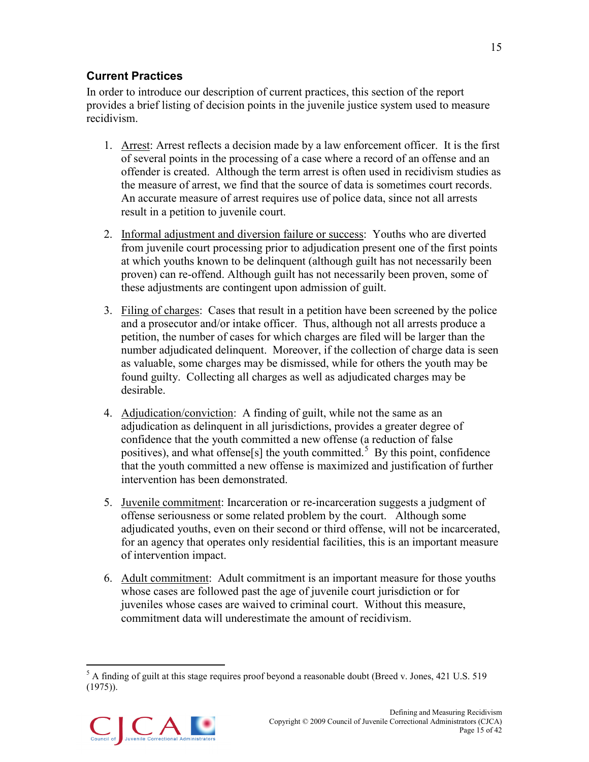# <span id="page-19-0"></span>**Current Practices**

In order to introduce our description of current practices, this section of the report provides a brief listing of decision points in the juvenile justice system used to measure recidivism.

- 1. Arrest: Arrest reflects a decision made by a law enforcement officer. It is the first of several points in the processing of a case where a record of an offense and an offender is created. Although the term arrest is often used in recidivism studies as the measure of arrest, we find that the source of data is sometimes court records. An accurate measure of arrest requires use of police data, since not all arrests result in a petition to juvenile court.
- 2. Informal adjustment and diversion failure or success: Youths who are diverted from juvenile court processing prior to adjudication present one of the first points at which youths known to be delinquent (although guilt has not necessarily been proven) can re-offend. Although guilt has not necessarily been proven, some of these adjustments are contingent upon admission of guilt.
- 3. Filing of charges: Cases that result in a petition have been screened by the police and a prosecutor and/or intake officer. Thus, although not all arrests produce a petition, the number of cases for which charges are filed will be larger than the number adjudicated delinquent. Moreover, if the collection of charge data is seen as valuable, some charges may be dismissed, while for others the youth may be found guilty. Collecting all charges as well as adjudicated charges may be desirable.
- 4. Adjudication/conviction: A finding of guilt, while not the same as an adjudication as delinquent in all jurisdictions, provides a greater degree of confidence that the youth committed a new offense (a reduction of false positives), and what offense[s] the youth committed.<sup>[5](#page-19-1)</sup> By this point, confidence that the youth committed a new offense is maximized and justification of further intervention has been demonstrated.
- 5. Juvenile commitment: Incarceration or re-incarceration suggests a judgment of offense seriousness or some related problem by the court. Although some adjudicated youths, even on their second or third offense, will not be incarcerated, for an agency that operates only residential facilities, this is an important measure of intervention impact.
- 6. Adult commitment: Adult commitment is an important measure for those youths whose cases are followed past the age of juvenile court jurisdiction or for juveniles whose cases are waived to criminal court. Without this measure, commitment data will underestimate the amount of recidivism.

<span id="page-19-1"></span> $5$  A finding of guilt at this stage requires proof beyond a reasonable doubt (Breed v. Jones, 421 U.S. 519) (1975)).

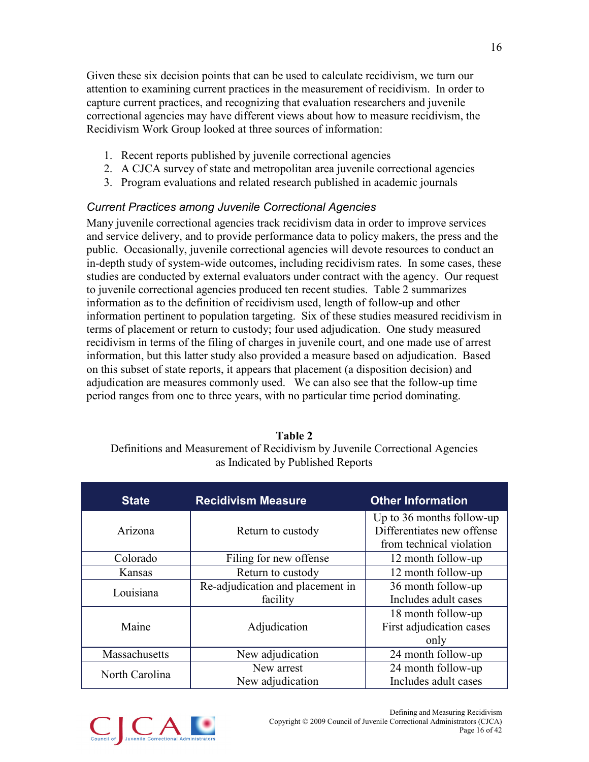Given these six decision points that can be used to calculate recidivism, we turn our attention to examining current practices in the measurement of recidivism. In order to capture current practices, and recognizing that evaluation researchers and juvenile correctional agencies may have different views about how to measure recidivism, the Recidivism Work Group looked at three sources of information:

- 1. Recent reports published by juvenile correctional agencies
- 2. A CJCA survey of state and metropolitan area juvenile correctional agencies
- 3. Program evaluations and related research published in academic journals

# *Current Practices among Juvenile Correctional Agencies*

Many juvenile correctional agencies track recidivism data in order to improve services and service delivery, and to provide performance data to policy makers, the press and the public. Occasionally, juvenile correctional agencies will devote resources to conduct an in-depth study of system-wide outcomes, including recidivism rates. In some cases, these studies are conducted by external evaluators under contract with the agency. Our request to juvenile correctional agencies produced ten recent studies. Table 2 summarizes information as to the definition of recidivism used, length of follow-up and other information pertinent to population targeting. Six of these studies measured recidivism in terms of placement or return to custody; four used adjudication. One study measured recidivism in terms of the filing of charges in juvenile court, and one made use of arrest information, but this latter study also provided a measure based on adjudication. Based on this subset of state reports, it appears that placement (a disposition decision) and adjudication are measures commonly used. We can also see that the follow-up time period ranges from one to three years, with no particular time period dominating.

### **Table 2** Definitions and Measurement of Recidivism by Juvenile Correctional Agencies as Indicated by Published Reports

| <b>State</b>   | <b>Recidivism Measure</b>        | <b>Other Information</b>   |
|----------------|----------------------------------|----------------------------|
|                |                                  | Up to 36 months follow-up  |
| Arizona        | Return to custody                | Differentiates new offense |
|                |                                  | from technical violation   |
| Colorado       | Filing for new offense           | 12 month follow-up         |
| Kansas         | Return to custody                | 12 month follow-up         |
| Louisiana      | Re-adjudication and placement in | 36 month follow-up         |
|                | facility                         | Includes adult cases       |
|                |                                  | 18 month follow-up         |
| Maine          | Adjudication                     | First adjudication cases   |
|                |                                  | only                       |
| Massachusetts  | New adjudication                 | 24 month follow-up         |
| North Carolina | New arrest                       | 24 month follow-up         |
|                | New adjudication                 | Includes adult cases       |

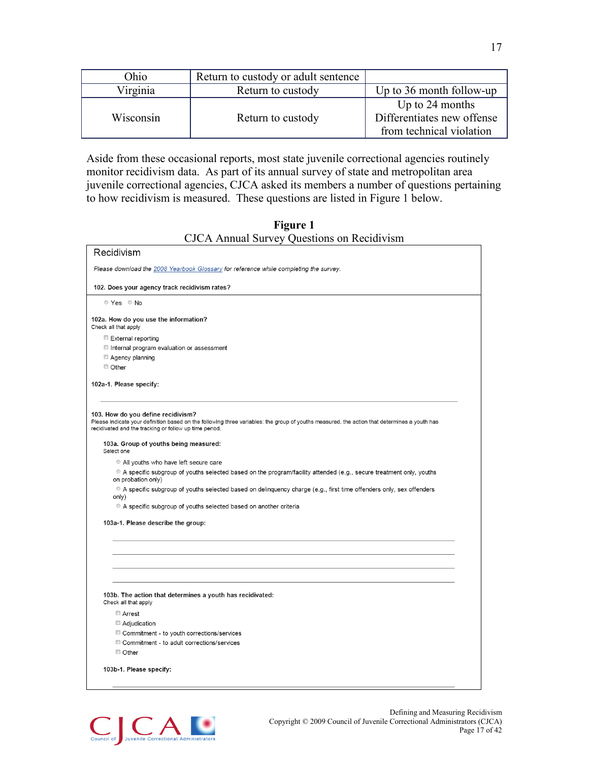| Ohio      | Return to custody or adult sentence |                                                                           |
|-----------|-------------------------------------|---------------------------------------------------------------------------|
| Virginia  | Return to custody                   | Up to $36$ month follow-up                                                |
| Wisconsin | Return to custody                   | Up to 24 months<br>Differentiates new offense<br>from technical violation |

Aside from these occasional reports, most state juvenile correctional agencies routinely monitor recidivism data. As part of its annual survey of state and metropolitan area juvenile correctional agencies, CJCA asked its members a number of questions pertaining to how recidivism is measured. These questions are listed in Figure 1 below.

#### **Figure 1** CJCA Annual Survey Questions on Recidivism

| Recidivism                                                                                                                                                                                                                                   |  |
|----------------------------------------------------------------------------------------------------------------------------------------------------------------------------------------------------------------------------------------------|--|
| Please download the 2008 Yearbook Glossary for reference while completing the survey.                                                                                                                                                        |  |
| 102. Does your agency track recidivism rates?                                                                                                                                                                                                |  |
| © Yes © No                                                                                                                                                                                                                                   |  |
| 102a. How do you use the information?<br>Check all that apply                                                                                                                                                                                |  |
| External reporting                                                                                                                                                                                                                           |  |
| Internal program evaluation or assessment                                                                                                                                                                                                    |  |
| Agency planning                                                                                                                                                                                                                              |  |
| $\Box$ Other                                                                                                                                                                                                                                 |  |
| 102a-1. Please specify:                                                                                                                                                                                                                      |  |
| 103. How do you define recidivism?<br>Please indicate your definition based on the following three variables: the group of youths measured, the action that determines a youth has<br>recidivated and the tracking or follow up time period. |  |
| 103a. Group of youths being measured:<br>Select one                                                                                                                                                                                          |  |
| All youths who have left secure care                                                                                                                                                                                                         |  |
| A specific subgroup of youths selected based on the program/facility attended (e.g., secure treatment only, youths<br>on probation only)                                                                                                     |  |
| A specific subgroup of youths selected based on delinquency charge (e.g., first time offenders only, sex offenders<br>only)                                                                                                                  |  |
| A specific subgroup of youths selected based on another criteria                                                                                                                                                                             |  |
| 103a-1. Please describe the group:                                                                                                                                                                                                           |  |
|                                                                                                                                                                                                                                              |  |
|                                                                                                                                                                                                                                              |  |
|                                                                                                                                                                                                                                              |  |
| 103b. The action that determines a youth has recidivated:<br>Check all that apply                                                                                                                                                            |  |
| Arrest                                                                                                                                                                                                                                       |  |
| Adjudication                                                                                                                                                                                                                                 |  |
| Commitment - to youth corrections/services                                                                                                                                                                                                   |  |
| Commitment - to adult corrections/services                                                                                                                                                                                                   |  |
| Other                                                                                                                                                                                                                                        |  |
| 103b-1. Please specify:                                                                                                                                                                                                                      |  |
|                                                                                                                                                                                                                                              |  |
|                                                                                                                                                                                                                                              |  |

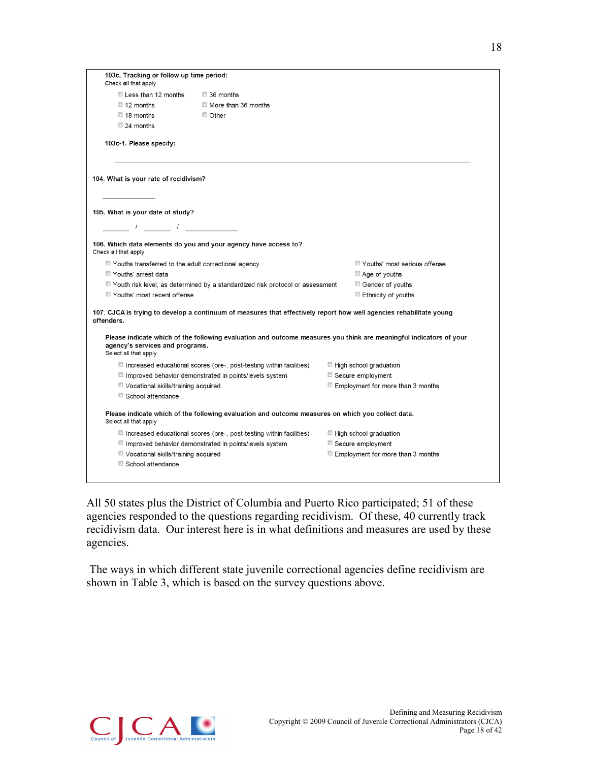| 103c. Tracking or follow up time period:                                                                                                                                                                                                                                                                            |                                                                                                                     |                                   |
|---------------------------------------------------------------------------------------------------------------------------------------------------------------------------------------------------------------------------------------------------------------------------------------------------------------------|---------------------------------------------------------------------------------------------------------------------|-----------------------------------|
| Check all that apply                                                                                                                                                                                                                                                                                                |                                                                                                                     |                                   |
| Less than 12 months                                                                                                                                                                                                                                                                                                 | 36 months                                                                                                           |                                   |
| $\Box$ 12 months                                                                                                                                                                                                                                                                                                    | More than 36 months                                                                                                 |                                   |
| $\Box$ 18 months                                                                                                                                                                                                                                                                                                    | $\Box$ Other                                                                                                        |                                   |
| $\Box$ 24 months                                                                                                                                                                                                                                                                                                    |                                                                                                                     |                                   |
| 103c-1. Please specify:                                                                                                                                                                                                                                                                                             |                                                                                                                     |                                   |
| 104. What is your rate of recidivism?                                                                                                                                                                                                                                                                               |                                                                                                                     |                                   |
| 105. What is your date of study?                                                                                                                                                                                                                                                                                    |                                                                                                                     |                                   |
| $\frac{1}{2}$ $\frac{1}{2}$ $\frac{1}{2}$ $\frac{1}{2}$ $\frac{1}{2}$ $\frac{1}{2}$ $\frac{1}{2}$ $\frac{1}{2}$ $\frac{1}{2}$ $\frac{1}{2}$ $\frac{1}{2}$ $\frac{1}{2}$ $\frac{1}{2}$ $\frac{1}{2}$ $\frac{1}{2}$ $\frac{1}{2}$ $\frac{1}{2}$ $\frac{1}{2}$ $\frac{1}{2}$ $\frac{1}{2}$ $\frac{1}{2}$ $\frac{1}{2}$ |                                                                                                                     |                                   |
| Check all that apply                                                                                                                                                                                                                                                                                                | 106. Which data elements do you and your agency have access to?                                                     |                                   |
| ■ Youths transferred to the adult correctional agency                                                                                                                                                                                                                                                               |                                                                                                                     | Youths' most serious offense      |
| Youths' arrest data                                                                                                                                                                                                                                                                                                 |                                                                                                                     | $\Box$ Age of youths              |
|                                                                                                                                                                                                                                                                                                                     |                                                                                                                     |                                   |
|                                                                                                                                                                                                                                                                                                                     | ■ Youth risk level, as determined by a standardized risk protocol or assessment                                     | Gender of youths                  |
| Youths' most recent offense                                                                                                                                                                                                                                                                                         |                                                                                                                     | Ethnicity of youths               |
| offenders.                                                                                                                                                                                                                                                                                                          | 107. CJCA is trying to develop a continuum of measures that effectively report how well agencies rehabilitate young |                                   |
| agency's services and programs.<br>Select all that apply                                                                                                                                                                                                                                                            | Please indicate which of the following evaluation and outcome measures you think are meaningful indicators of your  |                                   |
|                                                                                                                                                                                                                                                                                                                     | $\Box$ Increased educational scores (pre-, post-testing within facilities)                                          | $\Box$ High school graduation     |
|                                                                                                                                                                                                                                                                                                                     | Improved behavior demonstrated in points/levels system                                                              | Secure employment                 |
| Vocational skills/training acquired                                                                                                                                                                                                                                                                                 |                                                                                                                     | Employment for more than 3 months |
| School attendance                                                                                                                                                                                                                                                                                                   |                                                                                                                     |                                   |
| Select all that apply                                                                                                                                                                                                                                                                                               | Please indicate which of the following evaluation and outcome measures on which you collect data.                   |                                   |
|                                                                                                                                                                                                                                                                                                                     | $\Box$ Increased educational scores (pre-, post-testing within facilities)                                          | ■ High school graduation          |
|                                                                                                                                                                                                                                                                                                                     | Improved behavior demonstrated in points/levels system                                                              | Secure employment                 |
| Vocational skills/training acquired                                                                                                                                                                                                                                                                                 |                                                                                                                     | Employment for more than 3 months |

All 50 states plus the District of Columbia and Puerto Rico participated; 51 of these agencies responded to the questions regarding recidivism. Of these, 40 currently track recidivism data. Our interest here is in what definitions and measures are used by these agencies.

The ways in which different state juvenile correctional agencies define recidivism are shown in Table 3, which is based on the survey questions above.

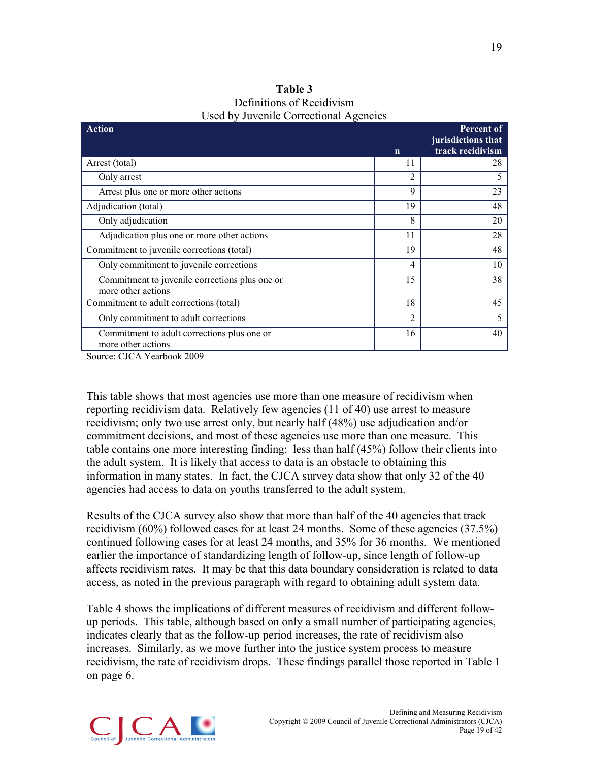| Table 3                                |
|----------------------------------------|
| Definitions of Recidivism              |
| Used by Juvenile Correctional Agencies |

| <b>Action</b>                                                               |                | <b>Percent of</b><br>jurisdictions that |
|-----------------------------------------------------------------------------|----------------|-----------------------------------------|
|                                                                             | $\mathbf n$    | track recidivism                        |
| Arrest (total)                                                              | 11             | 28                                      |
| Only arrest                                                                 | 2              | 5                                       |
| Arrest plus one or more other actions                                       | 9              | 23                                      |
| Adjudication (total)                                                        | 19             | 48                                      |
| Only adjudication                                                           | 8              | 20                                      |
| Adjudication plus one or more other actions                                 | 11             | 28                                      |
| Commitment to juvenile corrections (total)                                  | 19             | 48                                      |
| Only commitment to juvenile corrections                                     | $\overline{4}$ | 10                                      |
| Commitment to juvenile corrections plus one or<br>more other actions        | 15             | 38                                      |
| Commitment to adult corrections (total)                                     | 18             | 45                                      |
| Only commitment to adult corrections                                        | 2              | 5                                       |
| Commitment to adult corrections plus one or<br>more other actions<br>1.0000 | 16             | 40                                      |

Source: CJCA Yearbook 2009

This table shows that most agencies use more than one measure of recidivism when reporting recidivism data. Relatively few agencies (11 of 40) use arrest to measure recidivism; only two use arrest only, but nearly half (48%) use adjudication and/or commitment decisions, and most of these agencies use more than one measure. This table contains one more interesting finding: less than half (45%) follow their clients into the adult system. It is likely that access to data is an obstacle to obtaining this information in many states. In fact, the CJCA survey data show that only 32 of the 40 agencies had access to data on youths transferred to the adult system.

Results of the CJCA survey also show that more than half of the 40 agencies that track recidivism (60%) followed cases for at least 24 months. Some of these agencies (37.5%) continued following cases for at least 24 months, and 35% for 36 months. We mentioned earlier the importance of standardizing length of follow-up, since length of follow-up affects recidivism rates. It may be that this data boundary consideration is related to data access, as noted in the previous paragraph with regard to obtaining adult system data.

Table 4 shows the implications of different measures of recidivism and different followup periods. This table, although based on only a small number of participating agencies, indicates clearly that as the follow-up period increases, the rate of recidivism also increases. Similarly, as we move further into the justice system process to measure recidivism, the rate of recidivism drops. These findings parallel those reported in Table 1 on page 6.

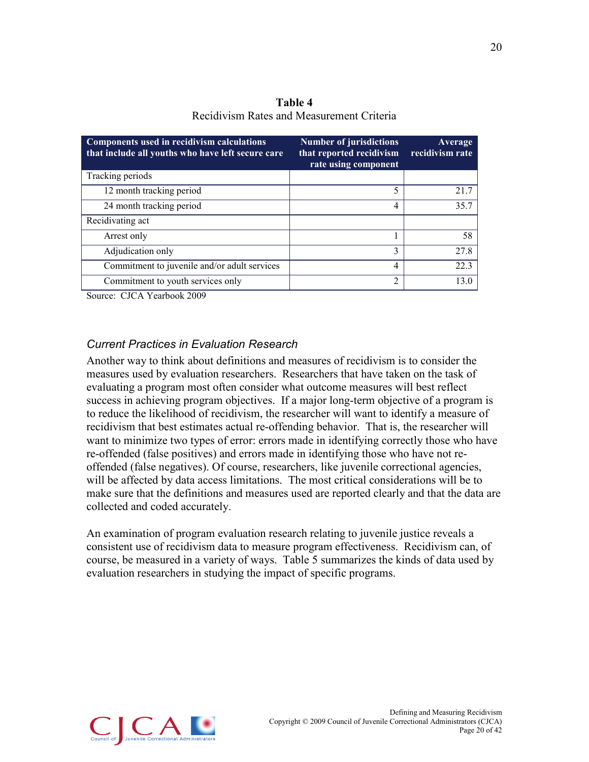**Table 4** Recidivism Rates and Measurement Criteria

| Components used in recidivism calculations<br>that include all youths who have left secure care | <b>Number of jurisdictions</b><br>that reported recidivism<br>rate using component | Average<br>recidivism rate |
|-------------------------------------------------------------------------------------------------|------------------------------------------------------------------------------------|----------------------------|
| Tracking periods                                                                                |                                                                                    |                            |
| 12 month tracking period                                                                        | 5                                                                                  | 21.7                       |
| 24 month tracking period                                                                        | 4                                                                                  | 35.7                       |
| Recidivating act                                                                                |                                                                                    |                            |
| Arrest only                                                                                     |                                                                                    | 58                         |
| Adjudication only                                                                               | 3                                                                                  | 27.8                       |
| Commitment to juvenile and/or adult services                                                    | 4                                                                                  | 223                        |
| Commitment to youth services only                                                               | $\mathfrak{D}$                                                                     | 130                        |

Source: CJCA Yearbook 2009

#### *Current Practices in Evaluation Research*

Another way to think about definitions and measures of recidivism is to consider the measures used by evaluation researchers. Researchers that have taken on the task of evaluating a program most often consider what outcome measures will best reflect success in achieving program objectives. If a major long-term objective of a program is to reduce the likelihood of recidivism, the researcher will want to identify a measure of recidivism that best estimates actual re-offending behavior. That is, the researcher will want to minimize two types of error: errors made in identifying correctly those who have re-offended (false positives) and errors made in identifying those who have not reoffended (false negatives). Of course, researchers, like juvenile correctional agencies, will be affected by data access limitations. The most critical considerations will be to make sure that the definitions and measures used are reported clearly and that the data are collected and coded accurately.

An examination of program evaluation research relating to juvenile justice reveals a consistent use of recidivism data to measure program effectiveness. Recidivism can, of course, be measured in a variety of ways. Table 5 summarizes the kinds of data used by evaluation researchers in studying the impact of specific programs.

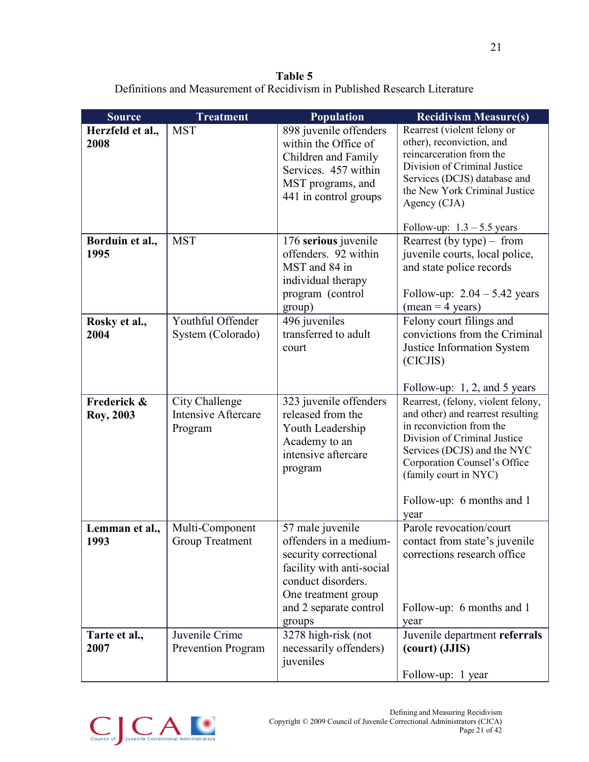**Table 5** Definitions and Measurement of Recidivism in Published Research Literature

| <b>Source</b>            | <b>Treatment</b>                                        | <b>Population</b>                                                                                                                                                                 | <b>Recidivism Measure(s)</b>                                                                                                                                                                                                                                     |
|--------------------------|---------------------------------------------------------|-----------------------------------------------------------------------------------------------------------------------------------------------------------------------------------|------------------------------------------------------------------------------------------------------------------------------------------------------------------------------------------------------------------------------------------------------------------|
| Herzfeld et al.,<br>2008 | <b>MST</b>                                              | 898 juvenile offenders<br>within the Office of<br>Children and Family<br>Services. 457 within<br>MST programs, and<br>441 in control groups                                       | Rearrest (violent felony or<br>other), reconviction, and<br>reincarceration from the<br>Division of Criminal Justice<br>Services (DCJS) database and<br>the New York Criminal Justice<br>Agency (CJA)<br>Follow-up: $1.3 - 5.5$ years                            |
| Borduin et al.,<br>1995  | <b>MST</b>                                              | 176 serious juvenile<br>offenders. 92 within<br>MST and 84 in<br>individual therapy<br>program (control<br>group)                                                                 | Rearrest (by type) $-$ from<br>juvenile courts, local police,<br>and state police records<br>Follow-up: $2.04 - 5.42$ years<br>$(mean = 4 years)$                                                                                                                |
| Rosky et al.,<br>2004    | Youthful Offender<br>System (Colorado)                  | 496 juveniles<br>transferred to adult<br>court                                                                                                                                    | Felony court filings and<br>convictions from the Criminal<br>Justice Information System<br>(CICJIS)<br>Follow-up: 1, 2, and 5 years                                                                                                                              |
| Frederick &<br>Roy, 2003 | City Challenge<br><b>Intensive Aftercare</b><br>Program | 323 juvenile offenders<br>released from the<br>Youth Leadership<br>Academy to an<br>intensive aftercare<br>program                                                                | Rearrest, (felony, violent felony,<br>and other) and rearrest resulting<br>in reconviction from the<br>Division of Criminal Justice<br>Services (DCJS) and the NYC<br>Corporation Counsel's Office<br>(family court in NYC)<br>Follow-up: 6 months and 1<br>year |
| Lemman et al.,<br>1993   | Multi-Component<br><b>Group Treatment</b>               | 57 male juvenile<br>offenders in a medium-<br>security correctional<br>facility with anti-social<br>conduct disorders.<br>One treatment group<br>and 2 separate control<br>groups | Parole revocation/court<br>contact from state's juvenile<br>corrections research office<br>Follow-up: 6 months and 1<br>year                                                                                                                                     |
| Tarte et al.,<br>2007    | Juvenile Crime<br><b>Prevention Program</b>             | 3278 high-risk (not<br>necessarily offenders)<br>juveniles                                                                                                                        | Juvenile department referrals<br>(court) (JJIS)<br>Follow-up: 1 year                                                                                                                                                                                             |

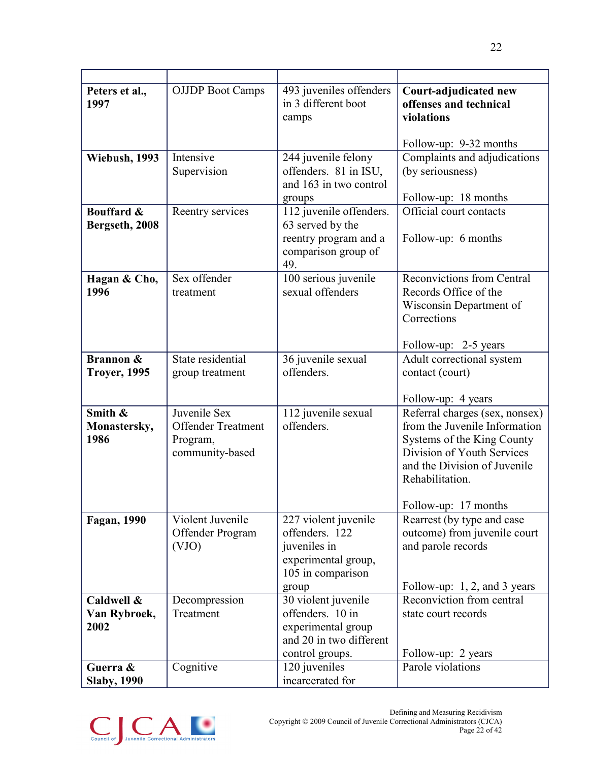| Peters et al.,<br>1997                      | <b>OJJDP</b> Boot Camps                                                  | 493 juveniles offenders<br>in 3 different boot<br>camps                                                     | Court-adjudicated new<br>offenses and technical<br>violations                                                                                                                                          |
|---------------------------------------------|--------------------------------------------------------------------------|-------------------------------------------------------------------------------------------------------------|--------------------------------------------------------------------------------------------------------------------------------------------------------------------------------------------------------|
|                                             |                                                                          |                                                                                                             | Follow-up: 9-32 months                                                                                                                                                                                 |
| Wiebush, 1993                               | Intensive<br>Supervision                                                 | 244 juvenile felony<br>offenders. 81 in ISU,<br>and 163 in two control<br>groups                            | Complaints and adjudications<br>(by seriousness)<br>Follow-up: 18 months                                                                                                                               |
| <b>Bouffard &amp;</b><br>Bergseth, 2008     | Reentry services                                                         | 112 juvenile offenders.<br>63 served by the<br>reentry program and a<br>comparison group of<br>49.          | Official court contacts<br>Follow-up: 6 months                                                                                                                                                         |
| Hagan & Cho,<br>1996                        | Sex offender<br>treatment                                                | 100 serious juvenile<br>sexual offenders                                                                    | <b>Reconvictions from Central</b><br>Records Office of the<br>Wisconsin Department of<br>Corrections<br>Follow-up: 2-5 years                                                                           |
| <b>Brannon &amp;</b><br><b>Troyer, 1995</b> | State residential<br>group treatment                                     | 36 juvenile sexual<br>offenders.                                                                            | Adult correctional system<br>contact (court)<br>Follow-up: 4 years                                                                                                                                     |
| Smith &<br>Monastersky,<br>1986             | Juvenile Sex<br><b>Offender Treatment</b><br>Program,<br>community-based | 112 juvenile sexual<br>offenders.                                                                           | Referral charges (sex, nonsex)<br>from the Juvenile Information<br>Systems of the King County<br>Division of Youth Services<br>and the Division of Juvenile<br>Rehabilitation.<br>Follow-up: 17 months |
| Fagan, 1990                                 | Violent Juvenile<br>Offender Program<br>(VJO)                            | 227 violent juvenile<br>offenders. 122<br>juveniles in<br>experimental group,<br>105 in comparison<br>group | Rearrest (by type and case)<br>outcome) from juvenile court<br>and parole records<br>Follow-up: 1, 2, and 3 years                                                                                      |
| Caldwell &<br>Van Rybroek,<br>2002          | Decompression<br>Treatment                                               | 30 violent juvenile<br>offenders. 10 in<br>experimental group<br>and 20 in two different<br>control groups. | Reconviction from central<br>state court records<br>Follow-up: 2 years                                                                                                                                 |
| Guerra &<br><b>Slaby, 1990</b>              | Cognitive                                                                | 120 juveniles<br>incarcerated for                                                                           | Parole violations                                                                                                                                                                                      |

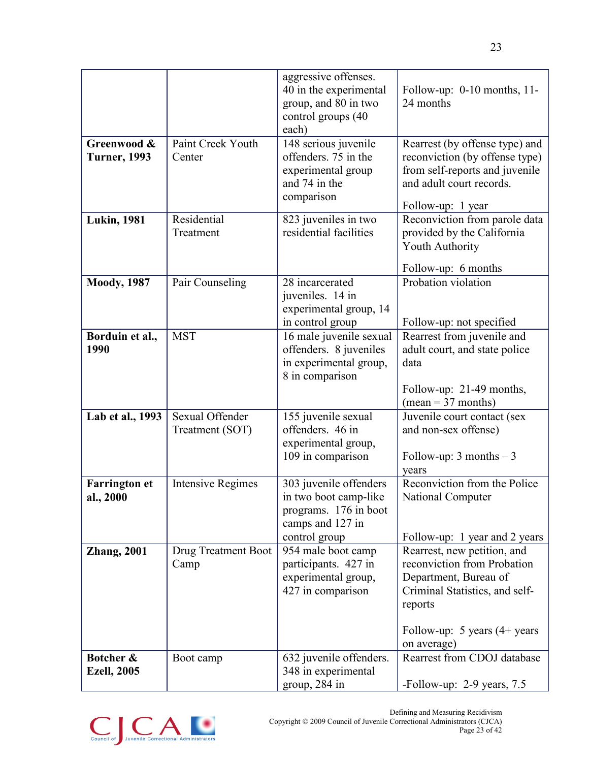|                                    |                                    | aggressive offenses.<br>40 in the experimental<br>group, and 80 in two<br>control groups (40<br>each)         | Follow-up: 0-10 months, 11-<br>24 months                                                                                                                            |
|------------------------------------|------------------------------------|---------------------------------------------------------------------------------------------------------------|---------------------------------------------------------------------------------------------------------------------------------------------------------------------|
| Greenwood &<br><b>Turner, 1993</b> | Paint Creek Youth<br>Center        | 148 serious juvenile<br>offenders. 75 in the<br>experimental group<br>and 74 in the<br>comparison             | Rearrest (by offense type) and<br>reconviction (by offense type)<br>from self-reports and juvenile<br>and adult court records.                                      |
| <b>Lukin</b> , 1981                | Residential<br>Treatment           | 823 juveniles in two<br>residential facilities                                                                | Follow-up: 1 year<br>Reconviction from parole data<br>provided by the California<br><b>Youth Authority</b><br>Follow-up: 6 months                                   |
| <b>Moody</b> , 1987                | Pair Counseling                    | 28 incarcerated<br>juveniles. 14 in<br>experimental group, 14<br>in control group                             | Probation violation<br>Follow-up: not specified                                                                                                                     |
| Borduin et al.,<br>1990            | <b>MST</b>                         | 16 male juvenile sexual<br>offenders. 8 juveniles<br>in experimental group,<br>8 in comparison                | Rearrest from juvenile and<br>adult court, and state police<br>data<br>Follow-up: 21-49 months,<br>$mean = 37$ months)                                              |
| Lab et al., 1993                   | Sexual Offender<br>Treatment (SOT) | 155 juvenile sexual<br>offenders. 46 in<br>experimental group,<br>109 in comparison                           | Juvenile court contact (sex<br>and non-sex offense)<br>Follow-up: $3$ months $-3$<br>years                                                                          |
| <b>Farrington et</b><br>al., 2000  | <b>Intensive Regimes</b>           | 303 juvenile offenders<br>in two boot camp-like<br>programs. 176 in boot<br>camps and 127 in<br>control group | Reconviction from the Police<br><b>National Computer</b><br>Follow-up: 1 year and 2 years                                                                           |
| <b>Zhang, 2001</b>                 | Drug Treatment Boot<br>Camp        | 954 male boot camp<br>participants. 427 in<br>experimental group,<br>427 in comparison                        | Rearrest, new petition, and<br>reconviction from Probation<br>Department, Bureau of<br>Criminal Statistics, and self-<br>reports<br>Follow-up: 5 years $(4+)$ years |
| Botcher &<br><b>Ezell</b> , 2005   | Boot camp                          | 632 juvenile offenders.<br>348 in experimental<br>group, 284 in                                               | on average)<br>Rearrest from CDOJ database<br>-Follow-up: $2-9$ years, $7.5$                                                                                        |

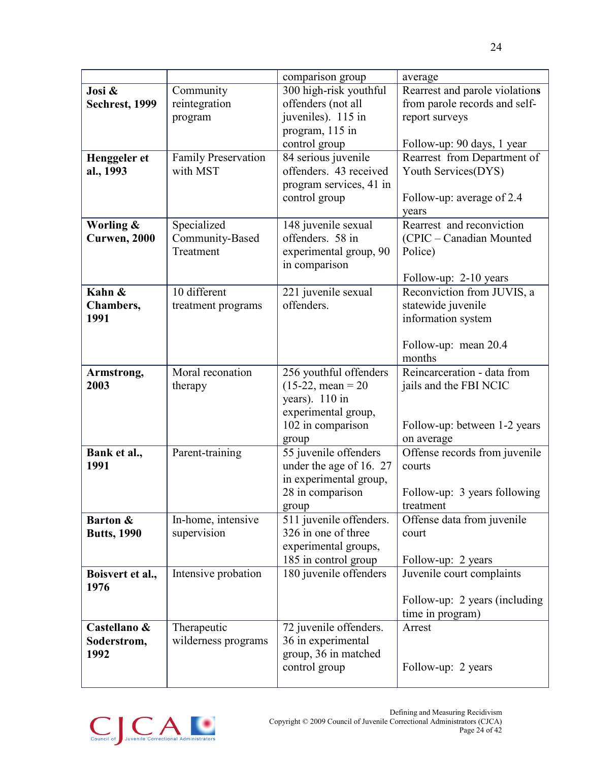|                    |                     | comparison group                  | average                        |  |  |
|--------------------|---------------------|-----------------------------------|--------------------------------|--|--|
| Josi &             | Community           | 300 high-risk youthful            | Rearrest and parole violations |  |  |
| Sechrest, 1999     | reintegration       | offenders (not all                | from parole records and self-  |  |  |
|                    | program             | juveniles). 115 in                | report surveys                 |  |  |
|                    |                     | program, 115 in                   |                                |  |  |
|                    |                     | control group                     | Follow-up: 90 days, 1 year     |  |  |
| Henggeler et       | Family Preservation | 84 serious juvenile               | Rearrest from Department of    |  |  |
| al., 1993          | with MST            | offenders. 43 received            | Youth Services(DYS)            |  |  |
|                    |                     | program services, 41 in           |                                |  |  |
|                    |                     | control group                     | Follow-up: average of 2.4      |  |  |
|                    |                     |                                   | years                          |  |  |
| Worling &          | Specialized         | 148 juvenile sexual               | Rearrest and reconviction      |  |  |
| Curwen, 2000       | Community-Based     | offenders. 58 in                  | (CPIC – Canadian Mounted       |  |  |
|                    | Treatment           | experimental group, 90            | Police)                        |  |  |
|                    |                     | in comparison                     |                                |  |  |
|                    |                     |                                   |                                |  |  |
| Kahn &             | 10 different        |                                   | Follow-up: 2-10 years          |  |  |
|                    |                     | 221 juvenile sexual<br>offenders. | Reconviction from JUVIS, a     |  |  |
| Chambers,          | treatment programs  |                                   | statewide juvenile             |  |  |
| 1991               |                     |                                   | information system             |  |  |
|                    |                     |                                   |                                |  |  |
|                    |                     |                                   | Follow-up: mean 20.4           |  |  |
|                    |                     |                                   | months                         |  |  |
| Armstrong,         | Moral reconation    | 256 youthful offenders            | Reincarceration - data from    |  |  |
| 2003               | therapy             | $(15-22, \text{mean} = 20)$       | jails and the FBI NCIC         |  |  |
|                    |                     | years). 110 in                    |                                |  |  |
|                    |                     | experimental group,               |                                |  |  |
|                    |                     | 102 in comparison                 | Follow-up: between 1-2 years   |  |  |
|                    |                     | group                             | on average                     |  |  |
| Bank et al.,       | Parent-training     | 55 juvenile offenders             | Offense records from juvenile  |  |  |
| 1991               |                     | under the age of 16. 27           | courts                         |  |  |
|                    |                     | in experimental group,            |                                |  |  |
|                    |                     | 28 in comparison                  | Follow-up: 3 years following   |  |  |
|                    |                     | group                             | treatment                      |  |  |
| Barton &           | In-home, intensive  | 511 juvenile offenders.           | Offense data from juvenile     |  |  |
| <b>Butts, 1990</b> | supervision         | 326 in one of three               | court                          |  |  |
|                    |                     | experimental groups,              |                                |  |  |
|                    |                     | 185 in control group              | Follow-up: 2 years             |  |  |
| Boisvert et al.,   | Intensive probation | 180 juvenile offenders            | Juvenile court complaints      |  |  |
| 1976               |                     |                                   |                                |  |  |
|                    |                     |                                   | Follow-up: 2 years (including) |  |  |
|                    |                     |                                   | time in program)               |  |  |
| Castellano &       | Therapeutic         | 72 juvenile offenders.            | Arrest                         |  |  |
| Soderstrom,        | wilderness programs | 36 in experimental                |                                |  |  |
| 1992               |                     | group, 36 in matched              |                                |  |  |
|                    |                     | control group                     | Follow-up: 2 years             |  |  |
|                    |                     |                                   |                                |  |  |

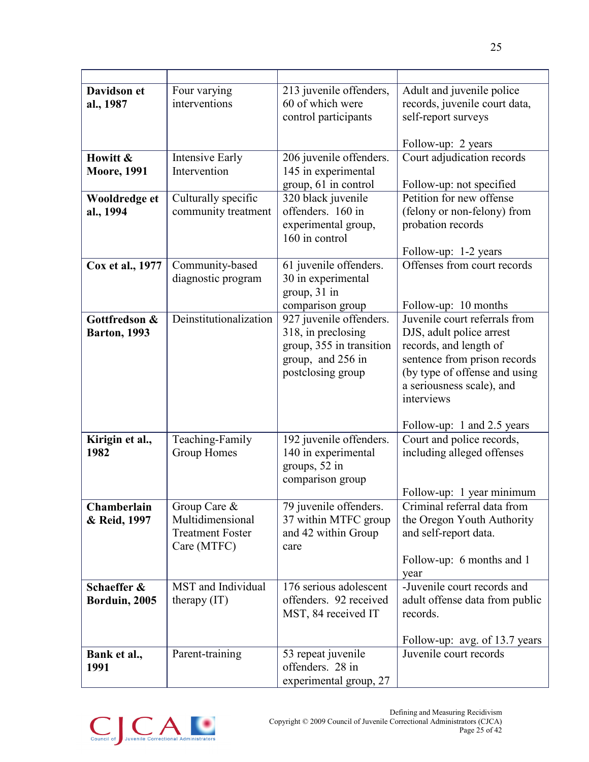| <b>Davidson</b> et<br>al., 1987       | Four varying<br>interventions                                              | 213 juvenile offenders,<br>60 of which were<br>control participants                                                 | Adult and juvenile police<br>records, juvenile court data,<br>self-report surveys                                                                                                                                             |
|---------------------------------------|----------------------------------------------------------------------------|---------------------------------------------------------------------------------------------------------------------|-------------------------------------------------------------------------------------------------------------------------------------------------------------------------------------------------------------------------------|
| Howitt &<br><b>Moore, 1991</b>        | <b>Intensive Early</b><br>Intervention                                     | 206 juvenile offenders.<br>145 in experimental<br>group, 61 in control                                              | Follow-up: 2 years<br>Court adjudication records<br>Follow-up: not specified                                                                                                                                                  |
| Wooldredge et<br>al., 1994            | Culturally specific<br>community treatment                                 | 320 black juvenile<br>offenders. 160 in<br>experimental group,<br>160 in control                                    | Petition for new offense<br>(felony or non-felony) from<br>probation records<br>Follow-up: 1-2 years                                                                                                                          |
| Cox et al., 1977                      | Community-based<br>diagnostic program                                      | 61 juvenile offenders.<br>30 in experimental<br>group, 31 in<br>comparison group                                    | Offenses from court records<br>Follow-up: 10 months                                                                                                                                                                           |
| Gottfredson &<br><b>Barton</b> , 1993 | Deinstitutionalization                                                     | 927 juvenile offenders.<br>318, in preclosing<br>group, 355 in transition<br>group, and 256 in<br>postclosing group | Juvenile court referrals from<br>DJS, adult police arrest<br>records, and length of<br>sentence from prison records<br>(by type of offense and using<br>a seriousness scale), and<br>interviews<br>Follow-up: 1 and 2.5 years |
| Kirigin et al.,<br>1982               | Teaching-Family<br>Group Homes                                             | 192 juvenile offenders.<br>140 in experimental<br>groups, 52 in<br>comparison group                                 | Court and police records,<br>including alleged offenses<br>Follow-up: 1 year minimum                                                                                                                                          |
| Chamberlain<br>& Reid, 1997           | Group Care &<br>Multidimensional<br><b>Treatment Foster</b><br>Care (MTFC) | 79 juvenile offenders.<br>37 within MTFC group<br>and 42 within Group<br>care                                       | Criminal referral data from<br>the Oregon Youth Authority<br>and self-report data.<br>Follow-up: 6 months and 1<br>year                                                                                                       |
| Schaeffer &<br>Borduin, 2005          | MST and Individual<br>therapy $(IT)$                                       | $\overline{176}$ serious adolescent<br>offenders. 92 received<br>MST, 84 received IT                                | -Juvenile court records and<br>adult offense data from public<br>records.<br>Follow-up: avg. of 13.7 years                                                                                                                    |
| Bank et al.,<br>1991                  | Parent-training                                                            | 53 repeat juvenile<br>offenders. 28 in<br>experimental group, 27                                                    | Juvenile court records                                                                                                                                                                                                        |

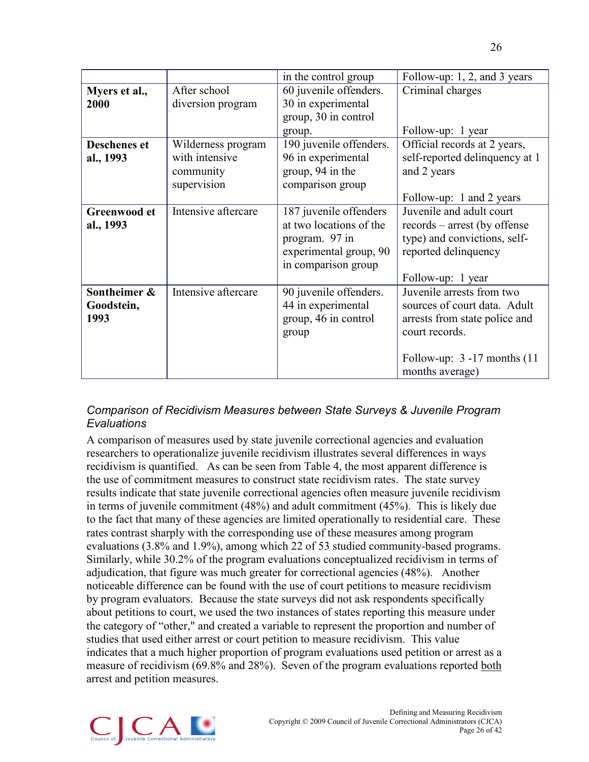|                     |                     | in the control group    | Follow-up: $1, 2$ , and 3 years |
|---------------------|---------------------|-------------------------|---------------------------------|
| Myers et al.,       | After school        | 60 juvenile offenders.  | Criminal charges                |
| 2000                | diversion program   | 30 in experimental      |                                 |
|                     |                     | group, 30 in control    |                                 |
|                     |                     | group.                  | Follow-up: 1 year               |
| <b>Deschenes et</b> | Wilderness program  | 190 juvenile offenders. | Official records at 2 years,    |
| al., 1993           | with intensive      | 96 in experimental      | self-reported delinquency at 1  |
|                     | community           | group, 94 in the        | and 2 years                     |
|                     | supervision         | comparison group        |                                 |
|                     |                     |                         | Follow-up: 1 and 2 years        |
| Greenwood et        | Intensive aftercare | 187 juvenile offenders  | Juvenile and adult court        |
| al., 1993           |                     | at two locations of the | records – arrest (by offense    |
|                     |                     | program. 97 in          | type) and convictions, self-    |
|                     |                     | experimental group, 90  | reported delinquency            |
|                     |                     | in comparison group     |                                 |
|                     |                     |                         | Follow-up: 1 year               |
| Sontheimer &        | Intensive aftercare | 90 juvenile offenders.  | Juvenile arrests from two       |
| Goodstein,          |                     | 44 in experimental      | sources of court data. Adult    |
| 1993                |                     | group, 46 in control    | arrests from state police and   |
|                     |                     | group                   | court records.                  |
|                     |                     |                         |                                 |
|                     |                     |                         | Follow-up: $3 - 17$ months (11) |
|                     |                     |                         | months average)                 |

### *Comparison of Recidivism Measures between State Surveys & Juvenile Program Evaluations*

A comparison of measures used by state juvenile correctional agencies and evaluation researchers to operationalize juvenile recidivism illustrates several differences in ways recidivism is quantified. As can be seen from Table 4, the most apparent difference is the use of commitment measures to construct state recidivism rates. The state survey results indicate that state juvenile correctional agencies often measure juvenile recidivism in terms of juvenile commitment (48%) and adult commitment (45%). This is likely due to the fact that many of these agencies are limited operationally to residential care. These rates contrast sharply with the corresponding use of these measures among program evaluations (3.8% and 1.9%), among which 22 of 53 studied community-based programs. Similarly, while 30.2% of the program evaluations conceptualized recidivism in terms of adjudication, that figure was much greater for correctional agencies (48%). Another noticeable difference can be found with the use of court petitions to measure recidivism by program evaluators. Because the state surveys did not ask respondents specifically about petitions to court, we used the two instances of states reporting this measure under the category of "other," and created a variable to represent the proportion and number of studies that used either arrest or court petition to measure recidivism. This value indicates that a much higher proportion of program evaluations used petition or arrest as a measure of recidivism (69.8% and 28%). Seven of the program evaluations reported both arrest and petition measures.

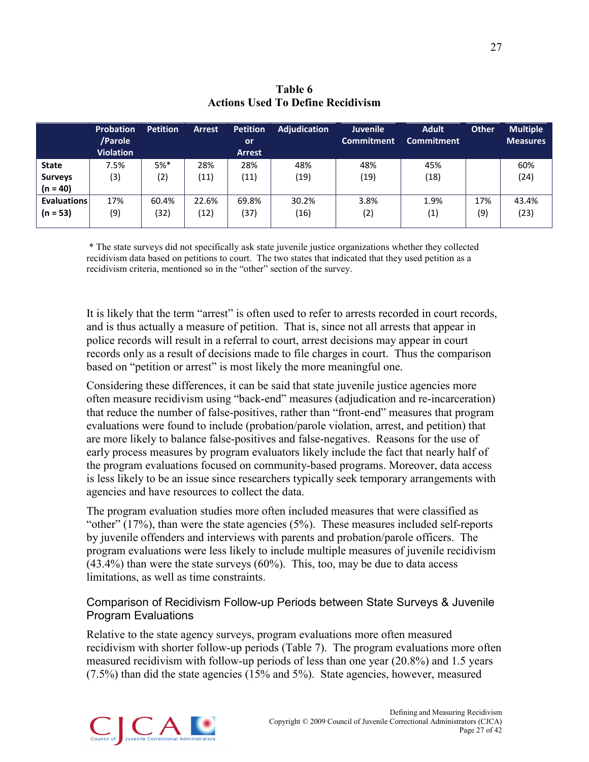|                    | <b>Probation</b><br>/Parole<br><b>Violation</b> | <b>Petition</b> | <b>Arrest</b> | <b>Petition</b><br><b>or</b><br><b>Arrest</b> | <b>Adjudication</b> | <b>Juvenile</b><br><b>Commitment</b> | <b>Adult</b><br><b>Commitment</b> | <b>Other</b> | <b>Multiple</b><br><b>Measures</b> |
|--------------------|-------------------------------------------------|-----------------|---------------|-----------------------------------------------|---------------------|--------------------------------------|-----------------------------------|--------------|------------------------------------|
| <b>State</b>       | 7.5%                                            | $5%$ *          | 28%           | 28%                                           | 48%                 | 48%                                  | 45%                               |              | 60%                                |
| <b>Surveys</b>     | (3)                                             | (2)             | (11)          | (11)                                          | (19)                | (19)                                 | (18)                              |              | (24)                               |
| $(n = 40)$         |                                                 |                 |               |                                               |                     |                                      |                                   |              |                                    |
| <b>Evaluations</b> | 17%                                             | 60.4%           | 22.6%         | 69.8%                                         | 30.2%               | 3.8%                                 | 1.9%                              | 17%          | 43.4%                              |
| $(n = 53)$         | (9)                                             | (32)            | (12)          | (37)                                          | (16)                | (2)                                  | (1)                               | (9)          | (23)                               |
|                    |                                                 |                 |               |                                               |                     |                                      |                                   |              |                                    |

### **Table 6 Actions Used To Define Recidivism**

\* The state surveys did not specifically ask state juvenile justice organizations whether they collected recidivism data based on petitions to court. The two states that indicated that they used petition as a recidivism criteria, mentioned so in the "other" section of the survey.

It is likely that the term "arrest" is often used to refer to arrests recorded in court records, and is thus actually a measure of petition. That is, since not all arrests that appear in police records will result in a referral to court, arrest decisions may appear in court records only as a result of decisions made to file charges in court. Thus the comparison based on "petition or arrest" is most likely the more meaningful one.

Considering these differences, it can be said that state juvenile justice agencies more often measure recidivism using "back-end" measures (adjudication and re-incarceration) that reduce the number of false-positives, rather than "front-end" measures that program evaluations were found to include (probation/parole violation, arrest, and petition) that are more likely to balance false-positives and false-negatives. Reasons for the use of early process measures by program evaluators likely include the fact that nearly half of the program evaluations focused on community-based programs. Moreover, data access is less likely to be an issue since researchers typically seek temporary arrangements with agencies and have resources to collect the data.

The program evaluation studies more often included measures that were classified as "other"  $(17\%)$ , than were the state agencies  $(5\%)$ . These measures included self-reports by juvenile offenders and interviews with parents and probation/parole officers. The program evaluations were less likely to include multiple measures of juvenile recidivism  $(43.4\%)$  than were the state surveys  $(60\%)$ . This, too, may be due to data access limitations, as well as time constraints.

### Comparison of Recidivism Follow-up Periods between State Surveys & Juvenile Program Evaluations

Relative to the state agency surveys, program evaluations more often measured recidivism with shorter follow-up periods (Table 7). The program evaluations more often measured recidivism with follow-up periods of less than one year (20.8%) and 1.5 years (7.5%) than did the state agencies (15% and 5%). State agencies, however, measured

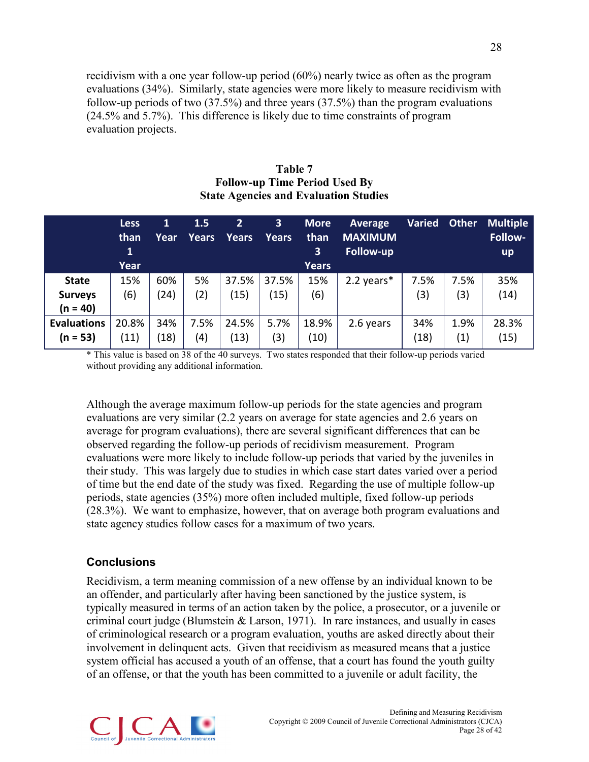recidivism with a one year follow-up period (60%) nearly twice as often as the program evaluations (34%). Similarly, state agencies were more likely to measure recidivism with follow-up periods of two (37.5%) and three years (37.5%) than the program evaluations (24.5% and 5.7%). This difference is likely due to time constraints of program evaluation projects.

| Table 7                                      |
|----------------------------------------------|
| <b>Follow-up Time Period Used By</b>         |
| <b>State Agencies and Evaluation Studies</b> |

|                                              | <b>Less</b><br>than<br>1<br>Year | $\mathbf{1}$<br>Year | 1.5<br><b>Years</b> | $\mathbf{2}$<br><b>Years</b> | 3<br><b>Years</b> | <b>More</b><br>than<br>$\mathbf{3}^{\prime}$<br><b>Years</b> | <b>Average</b><br><b>MAXIMUM</b><br><b>Follow-up</b> | <b>Varied</b> | <b>Other</b> | <b>Multiple</b><br>Follow-<br><b>up</b> |
|----------------------------------------------|----------------------------------|----------------------|---------------------|------------------------------|-------------------|--------------------------------------------------------------|------------------------------------------------------|---------------|--------------|-----------------------------------------|
| <b>State</b><br><b>Surveys</b><br>$(n = 40)$ | 15%<br>(6)                       | 60%<br>(24)          | 5%<br>(2)           | 37.5%<br>(15)                | 37.5%<br>(15)     | 15%<br>(6)                                                   | 2.2 years*                                           | 7.5%<br>(3)   | 7.5%<br>(3)  | 35%<br>(14)                             |
| <b>Evaluations</b><br>$(n = 53)$             | 20.8%<br>(11)                    | 34%<br>(18)          | 7.5%<br>(4)         | 24.5%<br>(13)                | 5.7%<br>(3)       | 18.9%<br>(10)                                                | 2.6 years                                            | 34%<br>(18)   | 1.9%<br>(1)  | 28.3%<br>(15)                           |

\* This value is based on 38 of the 40 surveys. Two states responded that their follow-up periods varied without providing any additional information.

Although the average maximum follow-up periods for the state agencies and program evaluations are very similar (2.2 years on average for state agencies and 2.6 years on average for program evaluations), there are several significant differences that can be observed regarding the follow-up periods of recidivism measurement. Program evaluations were more likely to include follow-up periods that varied by the juveniles in their study. This was largely due to studies in which case start dates varied over a period of time but the end date of the study was fixed. Regarding the use of multiple follow-up periods, state agencies (35%) more often included multiple, fixed follow-up periods (28.3%). We want to emphasize, however, that on average both program evaluations and state agency studies follow cases for a maximum of two years.

#### <span id="page-32-0"></span>**Conclusions**

Recidivism, a term meaning commission of a new offense by an individual known to be an offender, and particularly after having been sanctioned by the justice system, is typically measured in terms of an action taken by the police, a prosecutor, or a juvenile or criminal court judge (Blumstein & Larson, 1971). In rare instances, and usually in cases of criminological research or a program evaluation, youths are asked directly about their involvement in delinquent acts. Given that recidivism as measured means that a justice system official has accused a youth of an offense, that a court has found the youth guilty of an offense, or that the youth has been committed to a juvenile or adult facility, the

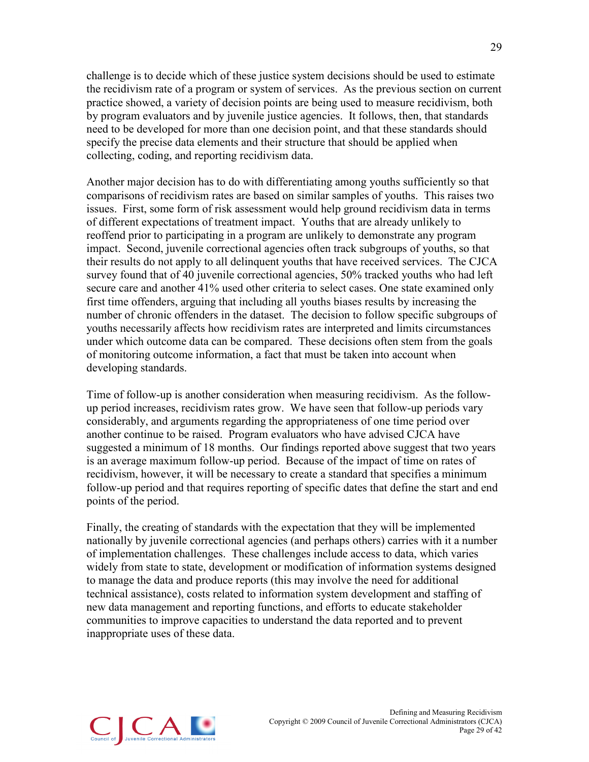challenge is to decide which of these justice system decisions should be used to estimate the recidivism rate of a program or system of services. As the previous section on current practice showed, a variety of decision points are being used to measure recidivism, both by program evaluators and by juvenile justice agencies. It follows, then, that standards need to be developed for more than one decision point, and that these standards should specify the precise data elements and their structure that should be applied when collecting, coding, and reporting recidivism data.

Another major decision has to do with differentiating among youths sufficiently so that comparisons of recidivism rates are based on similar samples of youths. This raises two issues. First, some form of risk assessment would help ground recidivism data in terms of different expectations of treatment impact. Youths that are already unlikely to reoffend prior to participating in a program are unlikely to demonstrate any program impact. Second, juvenile correctional agencies often track subgroups of youths, so that their results do not apply to all delinquent youths that have received services. The CJCA survey found that of 40 juvenile correctional agencies, 50% tracked youths who had left secure care and another 41% used other criteria to select cases. One state examined only first time offenders, arguing that including all youths biases results by increasing the number of chronic offenders in the dataset. The decision to follow specific subgroups of youths necessarily affects how recidivism rates are interpreted and limits circumstances under which outcome data can be compared. These decisions often stem from the goals of monitoring outcome information, a fact that must be taken into account when developing standards.

Time of follow-up is another consideration when measuring recidivism. As the followup period increases, recidivism rates grow. We have seen that follow-up periods vary considerably, and arguments regarding the appropriateness of one time period over another continue to be raised. Program evaluators who have advised CJCA have suggested a minimum of 18 months. Our findings reported above suggest that two years is an average maximum follow-up period. Because of the impact of time on rates of recidivism, however, it will be necessary to create a standard that specifies a minimum follow-up period and that requires reporting of specific dates that define the start and end points of the period.

Finally, the creating of standards with the expectation that they will be implemented nationally by juvenile correctional agencies (and perhaps others) carries with it a number of implementation challenges. These challenges include access to data, which varies widely from state to state, development or modification of information systems designed to manage the data and produce reports (this may involve the need for additional technical assistance), costs related to information system development and staffing of new data management and reporting functions, and efforts to educate stakeholder communities to improve capacities to understand the data reported and to prevent inappropriate uses of these data.

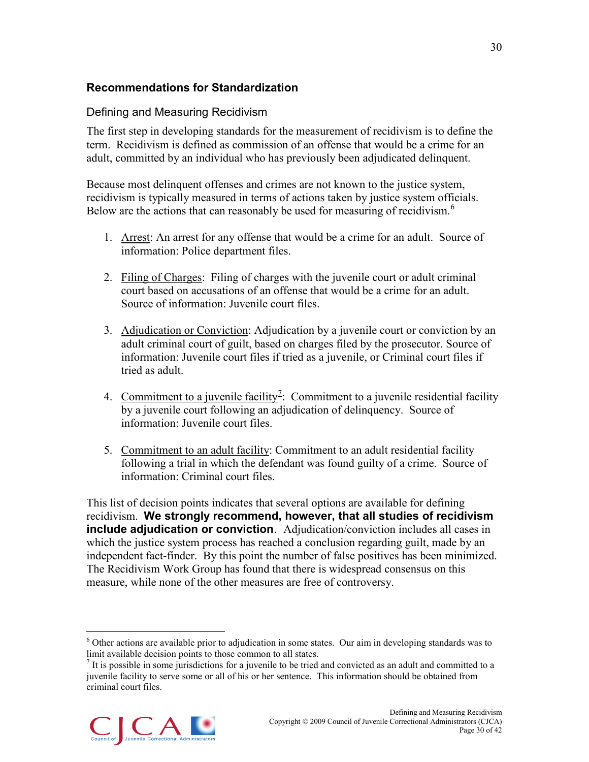# <span id="page-34-0"></span>**Recommendations for Standardization**

### Defining and Measuring Recidivism

The first step in developing standards for the measurement of recidivism is to define the term. Recidivism is defined as commission of an offense that would be a crime for an adult, committed by an individual who has previously been adjudicated delinquent.

Because most delinquent offenses and crimes are not known to the justice system, recidivism is typically measured in terms of actions taken by justice system officials. Below are the actions that can reasonably be used for measuring of recidivism.<sup>[6](#page-34-1)</sup>

- 1. Arrest: An arrest for any offense that would be a crime for an adult. Source of information: Police department files.
- 2. Filing of Charges: Filing of charges with the juvenile court or adult criminal court based on accusations of an offense that would be a crime for an adult. Source of information: Juvenile court files.
- 3. Adjudication or Conviction: Adjudication by a juvenile court or conviction by an adult criminal court of guilt, based on charges filed by the prosecutor. Source of information: Juvenile court files if tried as a juvenile, or Criminal court files if tried as adult.
- 4. Commitment to a juvenile facility<sup>2</sup>: Commitment to a juvenile residential facility by a juvenile court following an adjudication of delinquency. Source of information: Juvenile court files.
- 5. Commitment to an adult facility: Commitment to an adult residential facility following a trial in which the defendant was found guilty of a crime. Source of information: Criminal court files.

This list of decision points indicates that several options are available for defining recidivism. **We strongly recommend, however, that all studies of recidivism include adjudication or conviction**. Adjudication/conviction includes all cases in which the justice system process has reached a conclusion regarding guilt, made by an independent fact-finder. By this point the number of false positives has been minimized. The Recidivism Work Group has found that there is widespread consensus on this measure, while none of the other measures are free of controversy.

<span id="page-34-2"></span><span id="page-34-1"></span><sup>&</sup>lt;sup>7</sup> It is possible in some jurisdictions for a juvenile to be tried and convicted as an adult and committed to a juvenile facility to serve some or all of his or her sentence. This information should be obtained from criminal court files.



 <sup>6</sup> Other actions are available prior to adjudication in some states. Our aim in developing standards was to limit available decision points to those common to all states.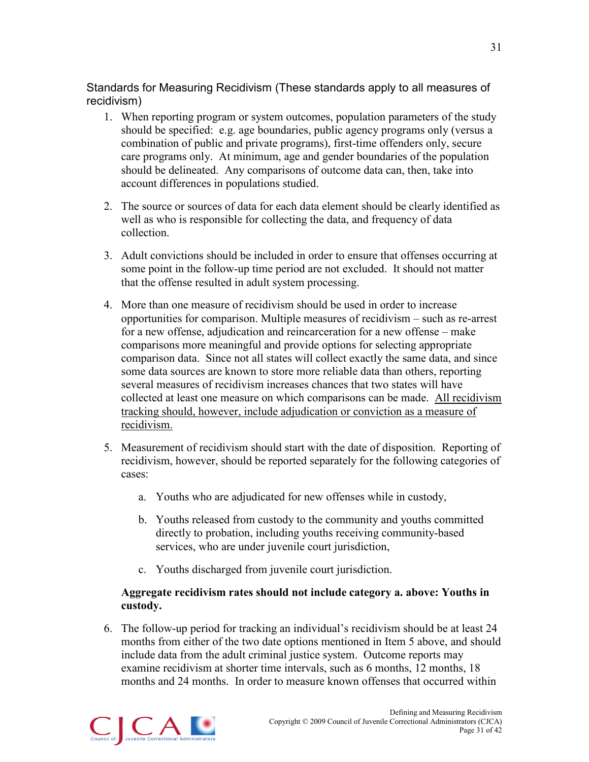# Standards for Measuring Recidivism (These standards apply to all measures of recidivism)

- 1. When reporting program or system outcomes, population parameters of the study should be specified: e.g. age boundaries, public agency programs only (versus a combination of public and private programs), first-time offenders only, secure care programs only. At minimum, age and gender boundaries of the population should be delineated. Any comparisons of outcome data can, then, take into account differences in populations studied.
- 2. The source or sources of data for each data element should be clearly identified as well as who is responsible for collecting the data, and frequency of data collection.
- 3. Adult convictions should be included in order to ensure that offenses occurring at some point in the follow-up time period are not excluded. It should not matter that the offense resulted in adult system processing.
- 4. More than one measure of recidivism should be used in order to increase opportunities for comparison. Multiple measures of recidivism – such as re-arrest for a new offense, adjudication and reincarceration for a new offense – make comparisons more meaningful and provide options for selecting appropriate comparison data. Since not all states will collect exactly the same data, and since some data sources are known to store more reliable data than others, reporting several measures of recidivism increases chances that two states will have collected at least one measure on which comparisons can be made. All recidivism tracking should, however, include adjudication or conviction as a measure of recidivism.
- 5. Measurement of recidivism should start with the date of disposition. Reporting of recidivism, however, should be reported separately for the following categories of cases:
	- a. Youths who are adjudicated for new offenses while in custody,
	- b. Youths released from custody to the community and youths committed directly to probation, including youths receiving community-based services, who are under juvenile court jurisdiction,
	- c. Youths discharged from juvenile court jurisdiction.

### **Aggregate recidivism rates should not include category a. above: Youths in custody.**

6. The follow-up period for tracking an individual's recidivism should be at least 24 months from either of the two date options mentioned in Item 5 above, and should include data from the adult criminal justice system. Outcome reports may examine recidivism at shorter time intervals, such as 6 months, 12 months, 18 months and 24 months. In order to measure known offenses that occurred within

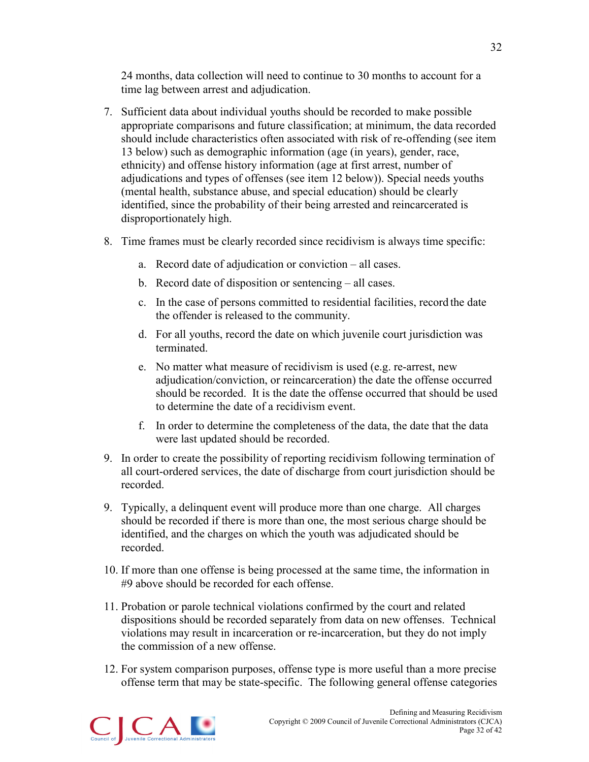24 months, data collection will need to continue to 30 months to account for a time lag between arrest and adjudication.

- 7. Sufficient data about individual youths should be recorded to make possible appropriate comparisons and future classification; at minimum, the data recorded should include characteristics often associated with risk of re-offending (see item 13 below) such as demographic information (age (in years), gender, race, ethnicity) and offense history information (age at first arrest, number of adjudications and types of offenses (see item 12 below)). Special needs youths (mental health, substance abuse, and special education) should be clearly identified, since the probability of their being arrested and reincarcerated is disproportionately high.
- 8. Time frames must be clearly recorded since recidivism is always time specific:
	- a. Record date of adjudication or conviction all cases.
	- b. Record date of disposition or sentencing all cases.
	- c. In the case of persons committed to residential facilities, record the date the offender is released to the community.
	- d. For all youths, record the date on which juvenile court jurisdiction was terminated.
	- e. No matter what measure of recidivism is used (e.g. re-arrest, new adjudication/conviction, or reincarceration) the date the offense occurred should be recorded. It is the date the offense occurred that should be used to determine the date of a recidivism event.
	- f. In order to determine the completeness of the data, the date that the data were last updated should be recorded.
- 9. In order to create the possibility of reporting recidivism following termination of all court-ordered services, the date of discharge from court jurisdiction should be recorded.
- 9. Typically, a delinquent event will produce more than one charge. All charges should be recorded if there is more than one, the most serious charge should be identified, and the charges on which the youth was adjudicated should be recorded.
- 10. If more than one offense is being processed at the same time, the information in #9 above should be recorded for each offense.
- 11. Probation or parole technical violations confirmed by the court and related dispositions should be recorded separately from data on new offenses. Technical violations may result in incarceration or re-incarceration, but they do not imply the commission of a new offense.
- 12. For system comparison purposes, offense type is more useful than a more precise offense term that may be state-specific. The following general offense categories

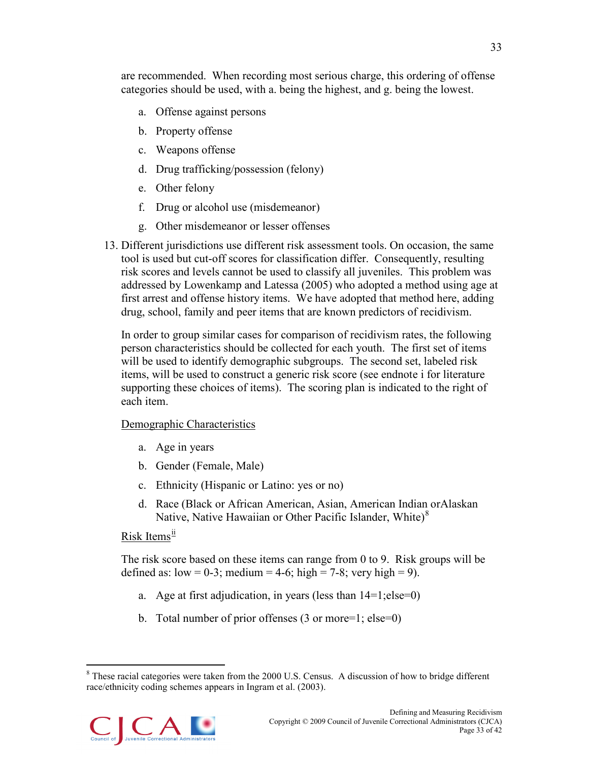are recommended. When recording most serious charge, this ordering of offense categories should be used, with a. being the highest, and g. being the lowest.

- a. Offense against persons
- b. Property offense
- c. Weapons offense
- d. Drug trafficking/possession (felony)
- e. Other felony
- f. Drug or alcohol use (misdemeanor)
- g. Other misdemeanor or lesser offenses
- 13. Different jurisdictions use different risk assessment tools. On occasion, the same tool is used but cut-off scores for classification differ. Consequently, resulting risk scores and levels cannot be used to classify all juveniles. This problem was addressed by Lowenkamp and Latessa (2005) who adopted a method using age at first arrest and offense history items. We have adopted that method here, adding drug, school, family and peer items that are known predictors of recidivism.

In order to group similar cases for comparison of recidivism rates, the following person characteristics should be collected for each youth. The first set of items will be used to identify demographic subgroups. The second set, labeled risk items, will be used to construct a generic risk score (see endnote i for literature supporting these choices of items). The scoring plan is indicated to the right of each item.

### Demographic Characteristics

- a. Age in years
- b. Gender (Female, Male)
- c. Ethnicity (Hispanic or Latino: yes or no)
- d. Race (Black or African American, Asian, American Indian orAlaskan Native, Native Hawaiian or Other Pacific Islander, White)<sup>[8](#page-37-0)</sup>

# Risk Items<sup>[ii](#page-46-1)</sup>

The risk score based on these items can range from 0 to 9. Risk groups will be defined as:  $low = 0-3$ ; medium = 4-6; high = 7-8; very high = 9).

- a. Age at first adjudication, in years (less than 14=1;else=0)
- b. Total number of prior offenses (3 or more=1; else=0)

<span id="page-37-0"></span><sup>&</sup>lt;sup>8</sup> These racial categories were taken from the 2000 U.S. Census. A discussion of how to bridge different race/ethnicity coding schemes appears in Ingram et al. (2003).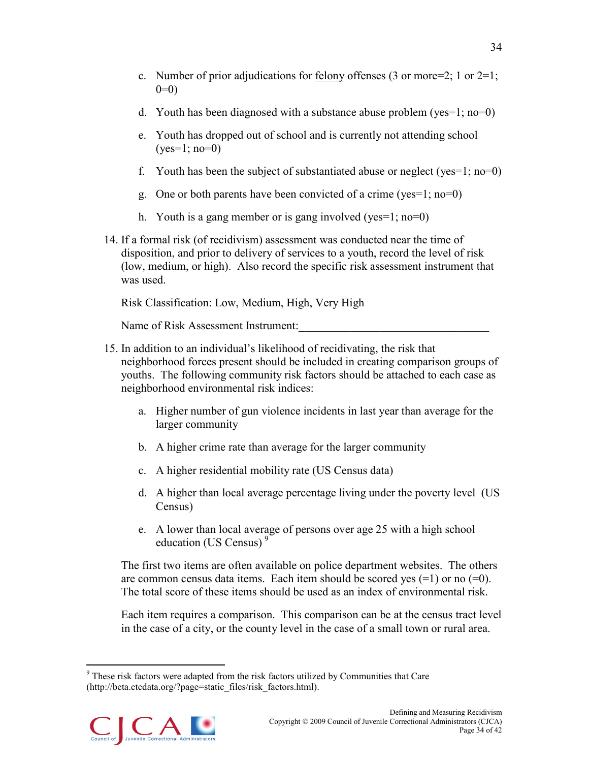- c. Number of prior adjudications for felony offenses (3 or more=2; 1 or  $2=1$ ;  $0=0$
- d. Youth has been diagnosed with a substance abuse problem (yes=1; no=0)
- e. Youth has dropped out of school and is currently not attending school  $(yes=1; no=0)$
- f. Youth has been the subject of substantiated abuse or neglect (yes=1; no=0)
- g. One or both parents have been convicted of a crime (yes=1; no=0)
- h. Youth is a gang member or is gang involved (yes=1; no=0)
- 14. If a formal risk (of recidivism) assessment was conducted near the time of disposition, and prior to delivery of services to a youth, record the level of risk (low, medium, or high). Also record the specific risk assessment instrument that was used.

Risk Classification: Low, Medium, High, Very High

Name of Risk Assessment Instrument:

- 15. In addition to an individual's likelihood of recidivating, the risk that neighborhood forces present should be included in creating comparison groups of youths. The following community risk factors should be attached to each case as neighborhood environmental risk indices:
	- a. Higher number of gun violence incidents in last year than average for the larger community
	- b. A higher crime rate than average for the larger community
	- c. A higher residential mobility rate (US Census data)
	- d. A higher than local average percentage living under the poverty level (US Census)
	- e. A lower than local average of persons over age 25 with a high school education (US Census)<sup>[9](#page-38-0)</sup>

The first two items are often available on police department websites. The others are common census data items. Each item should be scored yes  $(=1)$  or no  $(=0)$ . The total score of these items should be used as an index of environmental risk.

Each item requires a comparison. This comparison can be at the census tract level in the case of a city, or the county level in the case of a small town or rural area.

<span id="page-38-0"></span> <sup>9</sup> These risk factors were adapted from the risk factors utilized by Communities that Care [\(http://beta.ctcdata.org/?page=static\\_files/risk\\_factors.html\)](http://beta.ctcdata.org/?page=static_files/risk_factors.html).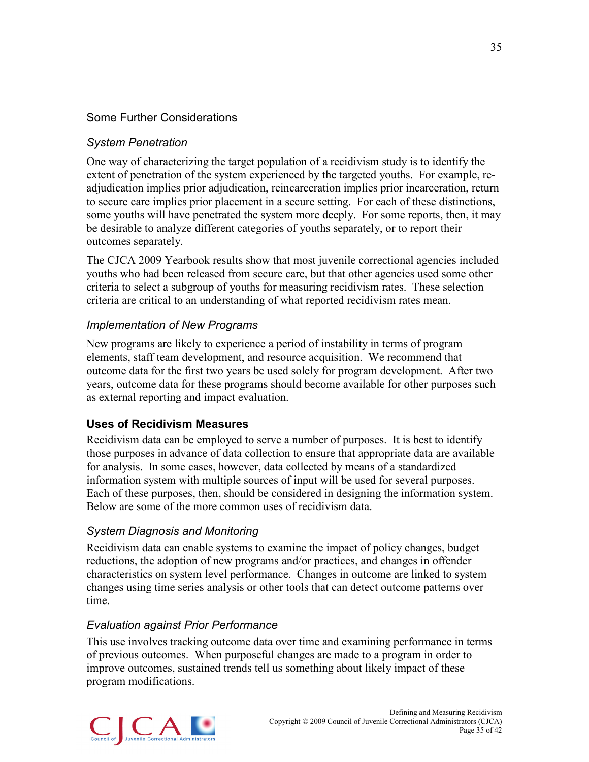# Some Further Considerations

### *System Penetration*

One way of characterizing the target population of a recidivism study is to identify the extent of penetration of the system experienced by the targeted youths. For example, readjudication implies prior adjudication, reincarceration implies prior incarceration, return to secure care implies prior placement in a secure setting. For each of these distinctions, some youths will have penetrated the system more deeply. For some reports, then, it may be desirable to analyze different categories of youths separately, or to report their outcomes separately.

The CJCA 2009 Yearbook results show that most juvenile correctional agencies included youths who had been released from secure care, but that other agencies used some other criteria to select a subgroup of youths for measuring recidivism rates. These selection criteria are critical to an understanding of what reported recidivism rates mean.

### *Implementation of New Programs*

New programs are likely to experience a period of instability in terms of program elements, staff team development, and resource acquisition. We recommend that outcome data for the first two years be used solely for program development. After two years, outcome data for these programs should become available for other purposes such as external reporting and impact evaluation.

### <span id="page-39-0"></span>**Uses of Recidivism Measures**

Recidivism data can be employed to serve a number of purposes. It is best to identify those purposes in advance of data collection to ensure that appropriate data are available for analysis. In some cases, however, data collected by means of a standardized information system with multiple sources of input will be used for several purposes. Each of these purposes, then, should be considered in designing the information system. Below are some of the more common uses of recidivism data.

### *System Diagnosis and Monitoring*

Recidivism data can enable systems to examine the impact of policy changes, budget reductions, the adoption of new programs and/or practices, and changes in offender characteristics on system level performance. Changes in outcome are linked to system changes using time series analysis or other tools that can detect outcome patterns over time.

#### *Evaluation against Prior Performance*

This use involves tracking outcome data over time and examining performance in terms of previous outcomes. When purposeful changes are made to a program in order to improve outcomes, sustained trends tell us something about likely impact of these program modifications.

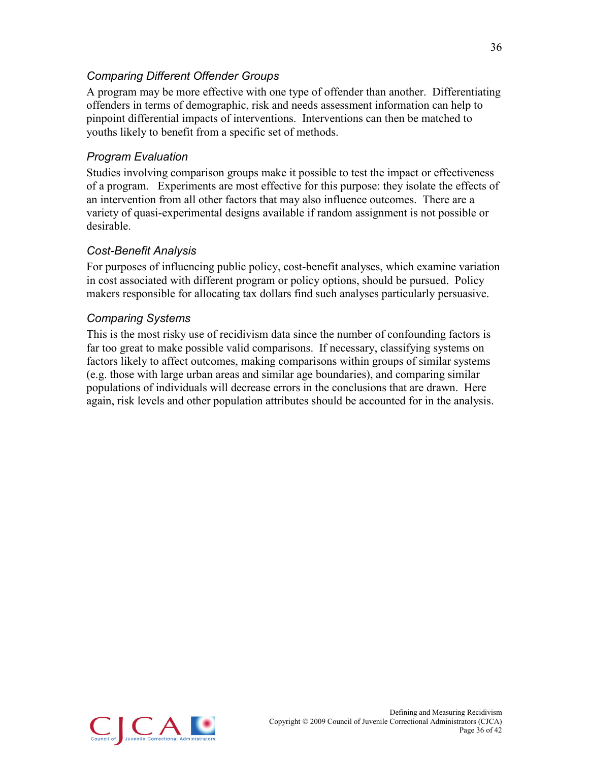# *Comparing Different Offender Groups*

A program may be more effective with one type of offender than another. Differentiating offenders in terms of demographic, risk and needs assessment information can help to pinpoint differential impacts of interventions. Interventions can then be matched to youths likely to benefit from a specific set of methods.

# *Program Evaluation*

Studies involving comparison groups make it possible to test the impact or effectiveness of a program. Experiments are most effective for this purpose: they isolate the effects of an intervention from all other factors that may also influence outcomes. There are a variety of quasi-experimental designs available if random assignment is not possible or desirable.

### *Cost-Benefit Analysis*

For purposes of influencing public policy, cost-benefit analyses, which examine variation in cost associated with different program or policy options, should be pursued. Policy makers responsible for allocating tax dollars find such analyses particularly persuasive.

### *Comparing Systems*

This is the most risky use of recidivism data since the number of confounding factors is far too great to make possible valid comparisons. If necessary, classifying systems on factors likely to affect outcomes, making comparisons within groups of similar systems (e.g. those with large urban areas and similar age boundaries), and comparing similar populations of individuals will decrease errors in the conclusions that are drawn. Here again, risk levels and other population attributes should be accounted for in the analysis.

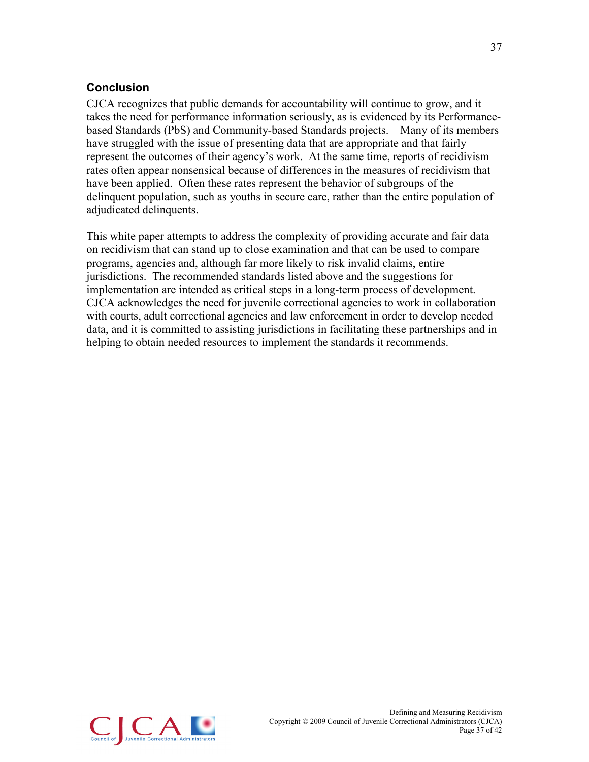# <span id="page-41-0"></span>**Conclusion**

CJCA recognizes that public demands for accountability will continue to grow, and it takes the need for performance information seriously, as is evidenced by its Performancebased Standards (PbS) and Community-based Standards projects. Many of its members have struggled with the issue of presenting data that are appropriate and that fairly represent the outcomes of their agency's work. At the same time, reports of recidivism rates often appear nonsensical because of differences in the measures of recidivism that have been applied. Often these rates represent the behavior of subgroups of the delinquent population, such as youths in secure care, rather than the entire population of adjudicated delinquents.

This white paper attempts to address the complexity of providing accurate and fair data on recidivism that can stand up to close examination and that can be used to compare programs, agencies and, although far more likely to risk invalid claims, entire jurisdictions. The recommended standards listed above and the suggestions for implementation are intended as critical steps in a long-term process of development. CJCA acknowledges the need for juvenile correctional agencies to work in collaboration with courts, adult correctional agencies and law enforcement in order to develop needed data, and it is committed to assisting jurisdictions in facilitating these partnerships and in helping to obtain needed resources to implement the standards it recommends.

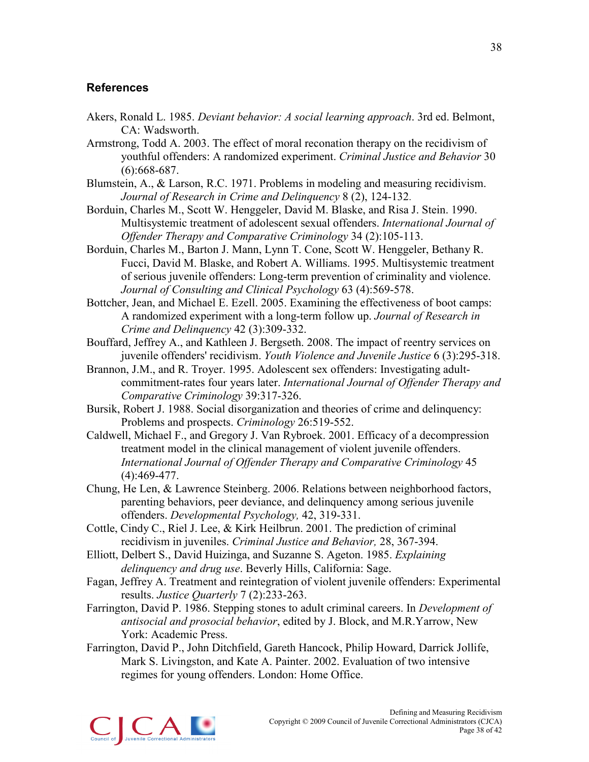#### <span id="page-42-0"></span>**References**

- Akers, Ronald L. 1985. *Deviant behavior: A social learning approach*. 3rd ed. Belmont, CA: Wadsworth.
- Armstrong, Todd A. 2003. The effect of moral reconation therapy on the recidivism of youthful offenders: A randomized experiment. *Criminal Justice and Behavior* 30 (6):668-687.
- Blumstein, A., & Larson, R.C. 1971. Problems in modeling and measuring recidivism. *Journal of Research in Crime and Delinquency* 8 (2), 124-132.
- Borduin, Charles M., Scott W. Henggeler, David M. Blaske, and Risa J. Stein. 1990. Multisystemic treatment of adolescent sexual offenders. *International Journal of Offender Therapy and Comparative Criminology* 34 (2):105-113.
- Borduin, Charles M., Barton J. Mann, Lynn T. Cone, Scott W. Henggeler, Bethany R. Fucci, David M. Blaske, and Robert A. Williams. 1995. Multisystemic treatment of serious juvenile offenders: Long-term prevention of criminality and violence. *Journal of Consulting and Clinical Psychology* 63 (4):569-578.
- Bottcher, Jean, and Michael E. Ezell. 2005. Examining the effectiveness of boot camps: A randomized experiment with a long-term follow up. *Journal of Research in Crime and Delinquency* 42 (3):309-332.
- Bouffard, Jeffrey A., and Kathleen J. Bergseth. 2008. The impact of reentry services on juvenile offenders' recidivism. *Youth Violence and Juvenile Justice* 6 (3):295-318.
- Brannon, J.M., and R. Troyer. 1995. Adolescent sex offenders: Investigating adultcommitment-rates four years later. *International Journal of Offender Therapy and Comparative Criminology* 39:317-326.
- Bursik, Robert J. 1988. Social disorganization and theories of crime and delinquency: Problems and prospects. *Criminology* 26:519-552.
- Caldwell, Michael F., and Gregory J. Van Rybroek. 2001. Efficacy of a decompression treatment model in the clinical management of violent juvenile offenders. *International Journal of Offender Therapy and Comparative Criminology* 45 (4):469-477.
- Chung, He Len, & Lawrence Steinberg. 2006. Relations between neighborhood factors, parenting behaviors, peer deviance, and delinquency among serious juvenile offenders. *Developmental Psychology,* 42, 319-331.
- Cottle, Cindy C., Riel J. Lee, & Kirk Heilbrun. 2001. The prediction of criminal recidivism in juveniles. *Criminal Justice and Behavior,* 28, 367-394.
- Elliott, Delbert S., David Huizinga, and Suzanne S. Ageton. 1985. *Explaining delinquency and drug use*. Beverly Hills, California: Sage.
- Fagan, Jeffrey A. Treatment and reintegration of violent juvenile offenders: Experimental results. *Justice Quarterly* 7 (2):233-263.
- Farrington, David P. 1986. Stepping stones to adult criminal careers. In *Development of antisocial and prosocial behavior*, edited by J. Block, and M.R.Yarrow, New York: Academic Press.
- Farrington, David P., John Ditchfield, Gareth Hancock, Philip Howard, Darrick Jollife, Mark S. Livingston, and Kate A. Painter. 2002. Evaluation of two intensive regimes for young offenders. London: Home Office.

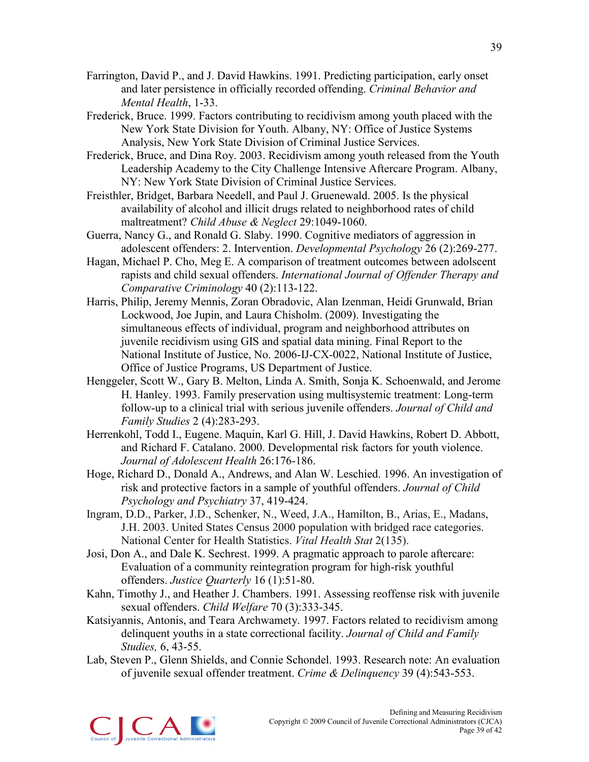- Farrington, David P., and J. David Hawkins. 1991. Predicting participation, early onset and later persistence in officially recorded offending. *Criminal Behavior and Mental Health*, 1-33.
- Frederick, Bruce. 1999. Factors contributing to recidivism among youth placed with the New York State Division for Youth. Albany, NY: Office of Justice Systems Analysis, New York State Division of Criminal Justice Services.
- Frederick, Bruce, and Dina Roy. 2003. Recidivism among youth released from the Youth Leadership Academy to the City Challenge Intensive Aftercare Program. Albany, NY: New York State Division of Criminal Justice Services.
- Freisthler, Bridget, Barbara Needell, and Paul J. Gruenewald. 2005. Is the physical availability of alcohol and illicit drugs related to neighborhood rates of child maltreatment? *Child Abuse & Neglect* 29:1049-1060.
- Guerra, Nancy G., and Ronald G. Slaby. 1990. Cognitive mediators of aggression in adolescent offenders: 2. Intervention. *Developmental Psychology* 26 (2):269-277.
- Hagan, Michael P. Cho, Meg E. A comparison of treatment outcomes between adolscent rapists and child sexual offenders. *International Journal of Offender Therapy and Comparative Criminology* 40 (2):113-122.
- Harris, Philip, Jeremy Mennis, Zoran Obradovic, Alan Izenman, Heidi Grunwald, Brian Lockwood, Joe Jupin, and Laura Chisholm. (2009). Investigating the simultaneous effects of individual, program and neighborhood attributes on juvenile recidivism using GIS and spatial data mining. Final Report to the National Institute of Justice, No. 2006-IJ-CX-0022, National Institute of Justice, Office of Justice Programs, US Department of Justice.
- Henggeler, Scott W., Gary B. Melton, Linda A. Smith, Sonja K. Schoenwald, and Jerome H. Hanley. 1993. Family preservation using multisystemic treatment: Long-term follow-up to a clinical trial with serious juvenile offenders. *Journal of Child and Family Studies* 2 (4):283-293.
- Herrenkohl, Todd I., Eugene. Maquin, Karl G. Hill, J. David Hawkins, Robert D. Abbott, and Richard F. Catalano. 2000. Developmental risk factors for youth violence. *Journal of Adolescent Health* 26:176-186.
- Hoge, Richard D., Donald A., Andrews, and Alan W. Leschied. 1996. An investigation of risk and protective factors in a sample of youthful offenders. *Journal of Child Psychology and Psychiatry* 37, 419-424.
- Ingram, D.D., Parker, J.D., Schenker, N., Weed, J.A., Hamilton, B., Arias, E., Madans, J.H. 2003. United States Census 2000 population with bridged race categories. National Center for Health Statistics. *Vital Health Stat* 2(135).
- Josi, Don A., and Dale K. Sechrest. 1999. A pragmatic approach to parole aftercare: Evaluation of a community reintegration program for high-risk youthful offenders. *Justice Quarterly* 16 (1):51-80.
- Kahn, Timothy J., and Heather J. Chambers. 1991. Assessing reoffense risk with juvenile sexual offenders. *Child Welfare* 70 (3):333-345.
- Katsiyannis, Antonis, and Teara Archwamety. 1997. Factors related to recidivism among delinquent youths in a state correctional facility. *Journal of Child and Family Studies,* 6, 43-55.
- Lab, Steven P., Glenn Shields, and Connie Schondel. 1993. Research note: An evaluation of juvenile sexual offender treatment. *Crime & Delinquency* 39 (4):543-553.

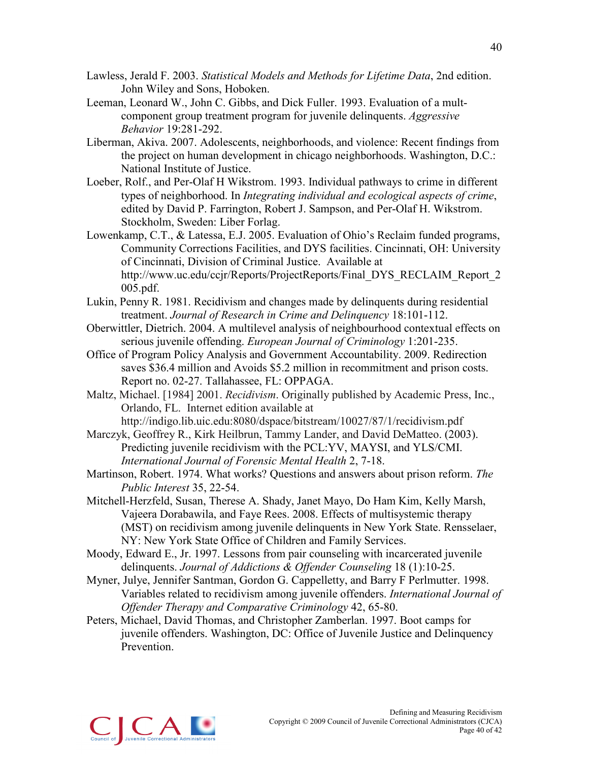- Lawless, Jerald F. 2003. *Statistical Models and Methods for Lifetime Data*, 2nd edition. John Wiley and Sons, Hoboken.
- Leeman, Leonard W., John C. Gibbs, and Dick Fuller. 1993. Evaluation of a multcomponent group treatment program for juvenile delinquents. *Aggressive Behavior* 19:281-292.
- Liberman, Akiva. 2007. Adolescents, neighborhoods, and violence: Recent findings from the project on human development in chicago neighborhoods. Washington, D.C.: National Institute of Justice.
- Loeber, Rolf., and Per-Olaf H Wikstrom. 1993. Individual pathways to crime in different types of neighborhood. In *Integrating individual and ecological aspects of crime*, edited by David P. Farrington, Robert J. Sampson, and Per-Olaf H. Wikstrom. Stockholm, Sweden: Liber Forlag.
- Lowenkamp, C.T., & Latessa, E.J. 2005. Evaluation of Ohio's Reclaim funded programs, Community Corrections Facilities, and DYS facilities. Cincinnati, OH: University of Cincinnati, Division of Criminal Justice. Available at http://www.uc.edu/ccjr/Reports/ProjectReports/Final\_DYS\_RECLAIM\_Report\_2 005.pdf.
- Lukin, Penny R. 1981. Recidivism and changes made by delinquents during residential treatment. *Journal of Research in Crime and Delinquency* 18:101-112.
- Oberwittler, Dietrich. 2004. A multilevel analysis of neighbourhood contextual effects on serious juvenile offending. *European Journal of Criminology* 1:201-235.
- Office of Program Policy Analysis and Government Accountability. 2009. Redirection saves \$36.4 million and Avoids \$5.2 million in recommitment and prison costs. Report no. 02-27. Tallahassee, FL: OPPAGA.
- Maltz, Michael. [1984] 2001. *Recidivism*. Originally published by Academic Press, Inc., Orlando, FL. Internet edition available at http://indigo.lib.uic.edu:8080/dspace/bitstream/10027/87/1/recidivism.pdf
- Marczyk, Geoffrey R., Kirk Heilbrun, Tammy Lander, and David DeMatteo. (2003). Predicting juvenile recidivism with the PCL:YV, MAYSI, and YLS/CMI. *International Journal of Forensic Mental Health* 2, 7-18.
- Martinson, Robert. 1974. What works? Questions and answers about prison reform. *The Public Interest* 35, 22-54.
- Mitchell-Herzfeld, Susan, Therese A. Shady, Janet Mayo, Do Ham Kim, Kelly Marsh, Vajeera Dorabawila, and Faye Rees. 2008. Effects of multisystemic therapy (MST) on recidivism among juvenile delinquents in New York State. Rensselaer, NY: New York State Office of Children and Family Services.
- Moody, Edward E., Jr. 1997. Lessons from pair counseling with incarcerated juvenile delinquents. *Journal of Addictions & Offender Counseling* 18 (1):10-25.
- Myner, Julye, Jennifer Santman, Gordon G. Cappelletty, and Barry F Perlmutter. 1998. Variables related to recidivism among juvenile offenders. *International Journal of Offender Therapy and Comparative Criminology* 42, 65-80.
- Peters, Michael, David Thomas, and Christopher Zamberlan. 1997. Boot camps for juvenile offenders. Washington, DC: Office of Juvenile Justice and Delinquency Prevention.

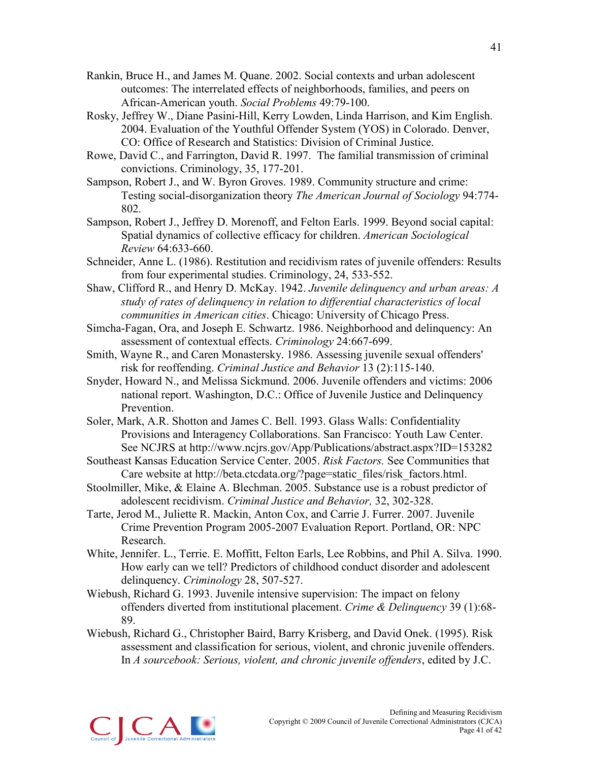- Rankin, Bruce H., and James M. Quane. 2002. Social contexts and urban adolescent outcomes: The interrelated effects of neighborhoods, families, and peers on African-American youth. *Social Problems* 49:79-100.
- Rosky, Jeffrey W., Diane Pasini-Hill, Kerry Lowden, Linda Harrison, and Kim English. 2004. Evaluation of the Youthful Offender System (YOS) in Colorado. Denver, CO: Office of Research and Statistics: Division of Criminal Justice.
- Rowe, David C., and Farrington, David R. 1997. The familial transmission of criminal convictions. Criminology, 35, 177-201.
- Sampson, Robert J., and W. Byron Groves. 1989. Community structure and crime: Testing social-disorganization theory *The American Journal of Sociology* 94:774- 802.
- Sampson, Robert J., Jeffrey D. Morenoff, and Felton Earls. 1999. Beyond social capital: Spatial dynamics of collective efficacy for children. *American Sociological Review* 64:633-660.
- Schneider, Anne L. (1986). Restitution and recidivism rates of juvenile offenders: Results from four experimental studies. Criminology, 24, 533-552.
- Shaw, Clifford R., and Henry D. McKay. 1942. *Juvenile delinquency and urban areas: A study of rates of delinquency in relation to differential characteristics of local communities in American cities*. Chicago: University of Chicago Press.
- Simcha-Fagan, Ora, and Joseph E. Schwartz. 1986. Neighborhood and delinquency: An assessment of contextual effects. *Criminology* 24:667-699.
- Smith, Wayne R., and Caren Monastersky. 1986. Assessing juvenile sexual offenders' risk for reoffending. *Criminal Justice and Behavior* 13 (2):115-140.
- Snyder, Howard N., and Melissa Sickmund. 2006. Juvenile offenders and victims: 2006 national report. Washington, D.C.: Office of Juvenile Justice and Delinquency Prevention.
- Soler, Mark, A.R. Shotton and James C. Bell. 1993. Glass Walls: Confidentiality Provisions and Interagency Collaborations. San Francisco: Youth Law Center. See NCJRS at http://www.ncjrs.gov/App/Publications/abstract.aspx?ID=153282
- Southeast Kansas Education Service Center. 2005. *Risk Factors.* See Communities that Care website at http://beta.ctcdata.org/?page=static\_files/risk\_factors.html.
- Stoolmiller, Mike, & Elaine A. Blechman. 2005. Substance use is a robust predictor of adolescent recidivism. *Criminal Justice and Behavior,* 32, 302-328.
- Tarte, Jerod M., Juliette R. Mackin, Anton Cox, and Carrie J. Furrer. 2007. Juvenile Crime Prevention Program 2005-2007 Evaluation Report. Portland, OR: NPC Research.
- White, Jennifer. L., Terrie. E. Moffitt, Felton Earls, Lee Robbins, and Phil A. Silva. 1990. How early can we tell? Predictors of childhood conduct disorder and adolescent delinquency. *Criminology* 28, 507-527.
- Wiebush, Richard G. 1993. Juvenile intensive supervision: The impact on felony offenders diverted from institutional placement. *Crime & Delinquency* 39 (1):68- 89.
- Wiebush, Richard G., Christopher Baird, Barry Krisberg, and David Onek. (1995). Risk assessment and classification for serious, violent, and chronic juvenile offenders. In *A sourcebook: Serious, violent, and chronic juvenile offenders*, edited by J.C.